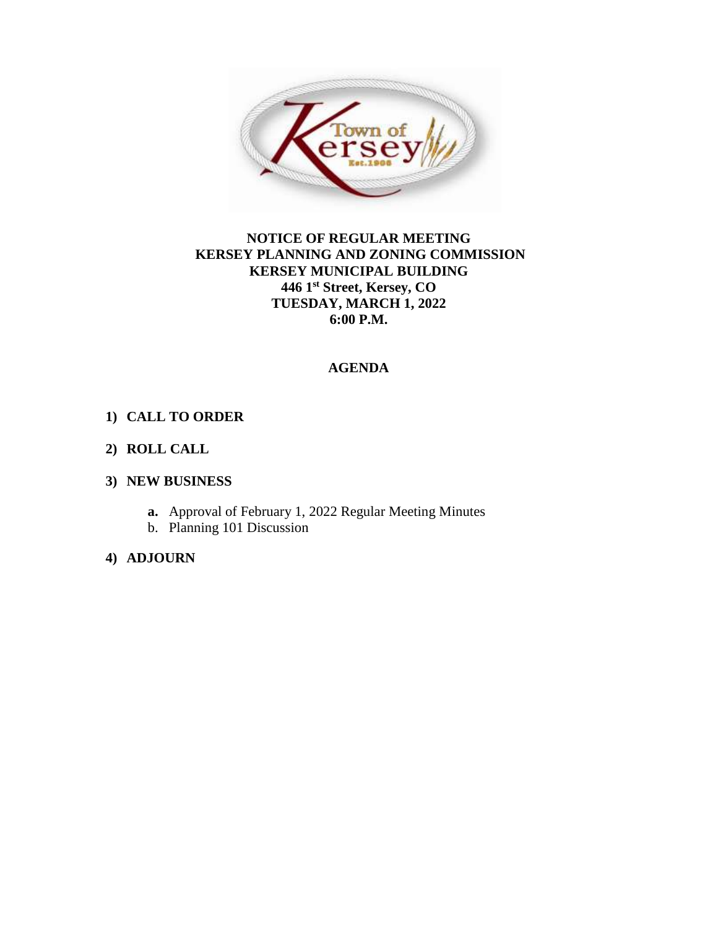

### **NOTICE OF REGULAR MEETING KERSEY PLANNING AND ZONING COMMISSION KERSEY MUNICIPAL BUILDING 446 1st Street, Kersey, CO TUESDAY, MARCH 1, 2022 6:00 P.M.**

### **AGENDA**

### **1) CALL TO ORDER**

### **2) ROLL CALL**

### **3) NEW BUSINESS**

- **a.** Approval of February 1, 2022 Regular Meeting Minutes
- b. Planning 101 Discussion

### **4) ADJOURN**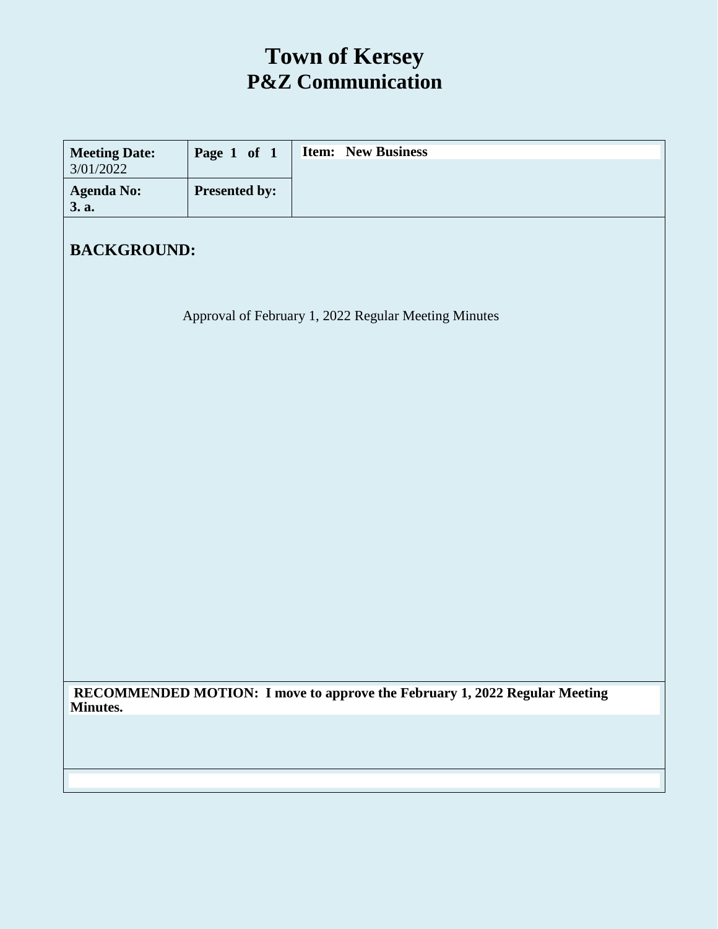### **Town of Kersey P&Z Communication**

| <b>Meeting Date:</b><br>3/01/2022                                                      | Page 1 of 1   | <b>Item:</b> New Business                            |  |  |
|----------------------------------------------------------------------------------------|---------------|------------------------------------------------------|--|--|
| <b>Agenda No:</b><br>3. a.                                                             | Presented by: |                                                      |  |  |
| <b>BACKGROUND:</b>                                                                     |               |                                                      |  |  |
|                                                                                        |               |                                                      |  |  |
|                                                                                        |               | Approval of February 1, 2022 Regular Meeting Minutes |  |  |
|                                                                                        |               |                                                      |  |  |
|                                                                                        |               |                                                      |  |  |
|                                                                                        |               |                                                      |  |  |
|                                                                                        |               |                                                      |  |  |
|                                                                                        |               |                                                      |  |  |
|                                                                                        |               |                                                      |  |  |
|                                                                                        |               |                                                      |  |  |
|                                                                                        |               |                                                      |  |  |
|                                                                                        |               |                                                      |  |  |
|                                                                                        |               |                                                      |  |  |
| RECOMMENDED MOTION: I move to approve the February 1, 2022 Regular Meeting<br>Minutes. |               |                                                      |  |  |
|                                                                                        |               |                                                      |  |  |
|                                                                                        |               |                                                      |  |  |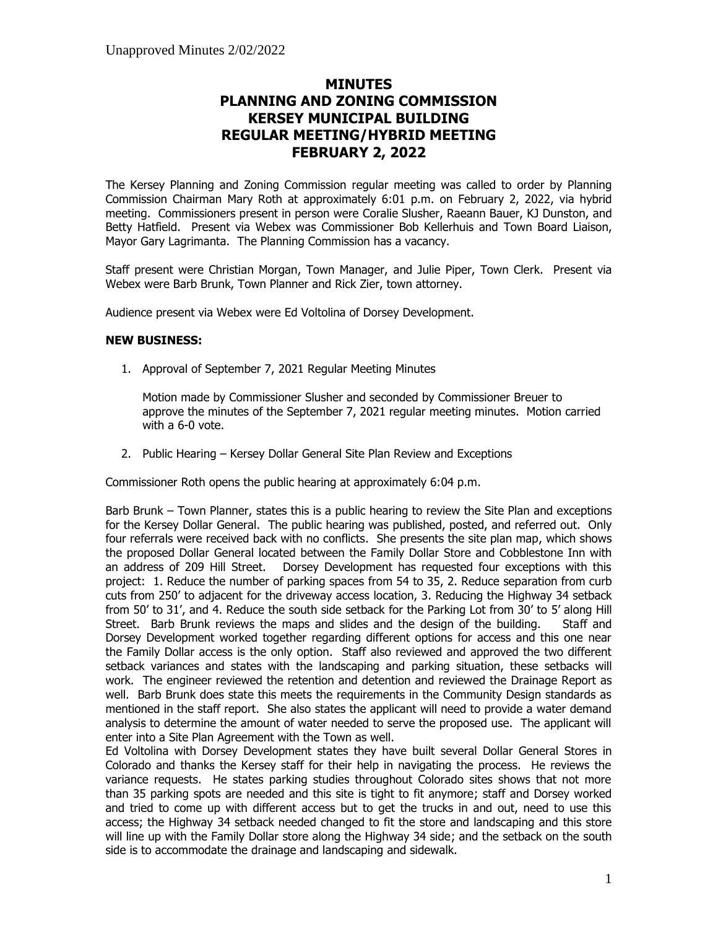### **MINUTES PLANNING AND ZONING COMMISSION KERSEY MUNICIPAL BUILDING REGULAR MEETING/HYBRID MEETING FEBRUARY 2, 2022**

The Kersey Planning and Zoning Commission regular meeting was called to order by Planning Commission Chairman Mary Roth at approximately 6:01 p.m. on February 2, 2022, via hybrid meeting. Commissioners present in person were Coralie Slusher, Raeann Bauer, KJ Dunston, and Betty Hatfield. Present via Webex was Commissioner Bob Kellerhuis and Town Board Liaison, Mayor Gary Lagrimanta. The Planning Commission has a vacancy.

Staff present were Christian Morgan, Town Manager, and Julie Piper, Town Clerk. Present via Webex were Barb Brunk, Town Planner and Rick Zier, town attorney.

Audience present via Webex were Ed Voltolina of Dorsey Development.

#### **NEW BUSINESS:**

1. Approval of September 7, 2021 Regular Meeting Minutes

Motion made by Commissioner Slusher and seconded by Commissioner Breuer to approve the minutes of the September 7, 2021 regular meeting minutes. Motion carried with a 6-0 vote.

2. Public Hearing – Kersey Dollar General Site Plan Review and Exceptions

Commissioner Roth opens the public hearing at approximately 6:04 p.m.

Barb Brunk – Town Planner, states this is a public hearing to review the Site Plan and exceptions for the Kersey Dollar General. The public hearing was published, posted, and referred out. Only four referrals were received back with no conflicts. She presents the site plan map, which shows the proposed Dollar General located between the Family Dollar Store and Cobblestone Inn with an address of 209 Hill Street. Dorsey Development has requested four exceptions with this project: 1. Reduce the number of parking spaces from 54 to 35, 2. Reduce separation from curb cuts from 250' to adjacent for the driveway access location, 3. Reducing the Highway 34 setback from 50' to 31', and 4. Reduce the south side setback for the Parking Lot from 30' to 5' along Hill Street. Barb Brunk reviews the maps and slides and the design of the building. Staff and Dorsey Development worked together regarding different options for access and this one near the Family Dollar access is the only option. Staff also reviewed and approved the two different setback variances and states with the landscaping and parking situation, these setbacks will work. The engineer reviewed the retention and detention and reviewed the Drainage Report as well. Barb Brunk does state this meets the requirements in the Community Design standards as mentioned in the staff report. She also states the applicant will need to provide a water demand analysis to determine the amount of water needed to serve the proposed use. The applicant will enter into a Site Plan Agreement with the Town as well.

Ed Voltolina with Dorsey Development states they have built several Dollar General Stores in Colorado and thanks the Kersey staff for their help in navigating the process. He reviews the variance requests. He states parking studies throughout Colorado sites shows that not more than 35 parking spots are needed and this site is tight to fit anymore; staff and Dorsey worked and tried to come up with different access but to get the trucks in and out, need to use this access; the Highway 34 setback needed changed to fit the store and landscaping and this store will line up with the Family Dollar store along the Highway 34 side; and the setback on the south side is to accommodate the drainage and landscaping and sidewalk.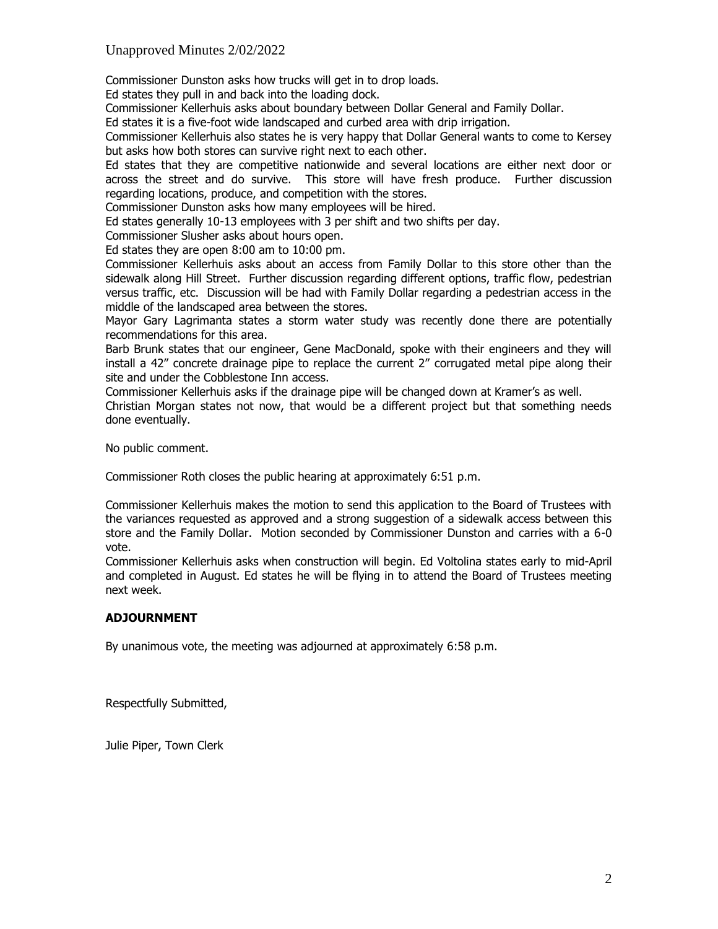### Unapproved Minutes 2/02/2022

Commissioner Dunston asks how trucks will get in to drop loads.

Ed states they pull in and back into the loading dock.

Commissioner Kellerhuis asks about boundary between Dollar General and Family Dollar.

Ed states it is a five-foot wide landscaped and curbed area with drip irrigation.

Commissioner Kellerhuis also states he is very happy that Dollar General wants to come to Kersey but asks how both stores can survive right next to each other.

Ed states that they are competitive nationwide and several locations are either next door or across the street and do survive. This store will have fresh produce. Further discussion regarding locations, produce, and competition with the stores.

Commissioner Dunston asks how many employees will be hired.

Ed states generally 10-13 employees with 3 per shift and two shifts per day.

Commissioner Slusher asks about hours open.

Ed states they are open 8:00 am to 10:00 pm.

Commissioner Kellerhuis asks about an access from Family Dollar to this store other than the sidewalk along Hill Street. Further discussion regarding different options, traffic flow, pedestrian versus traffic, etc. Discussion will be had with Family Dollar regarding a pedestrian access in the middle of the landscaped area between the stores.

Mayor Gary Lagrimanta states a storm water study was recently done there are potentially recommendations for this area.

Barb Brunk states that our engineer, Gene MacDonald, spoke with their engineers and they will install a 42" concrete drainage pipe to replace the current 2" corrugated metal pipe along their site and under the Cobblestone Inn access.

Commissioner Kellerhuis asks if the drainage pipe will be changed down at Kramer's as well.

Christian Morgan states not now, that would be a different project but that something needs done eventually.

No public comment.

Commissioner Roth closes the public hearing at approximately 6:51 p.m.

Commissioner Kellerhuis makes the motion to send this application to the Board of Trustees with the variances requested as approved and a strong suggestion of a sidewalk access between this store and the Family Dollar. Motion seconded by Commissioner Dunston and carries with a 6-0 vote.

Commissioner Kellerhuis asks when construction will begin. Ed Voltolina states early to mid-April and completed in August. Ed states he will be flying in to attend the Board of Trustees meeting next week.

#### **ADJOURNMENT**

By unanimous vote, the meeting was adjourned at approximately 6:58 p.m.

Respectfully Submitted,

Julie Piper, Town Clerk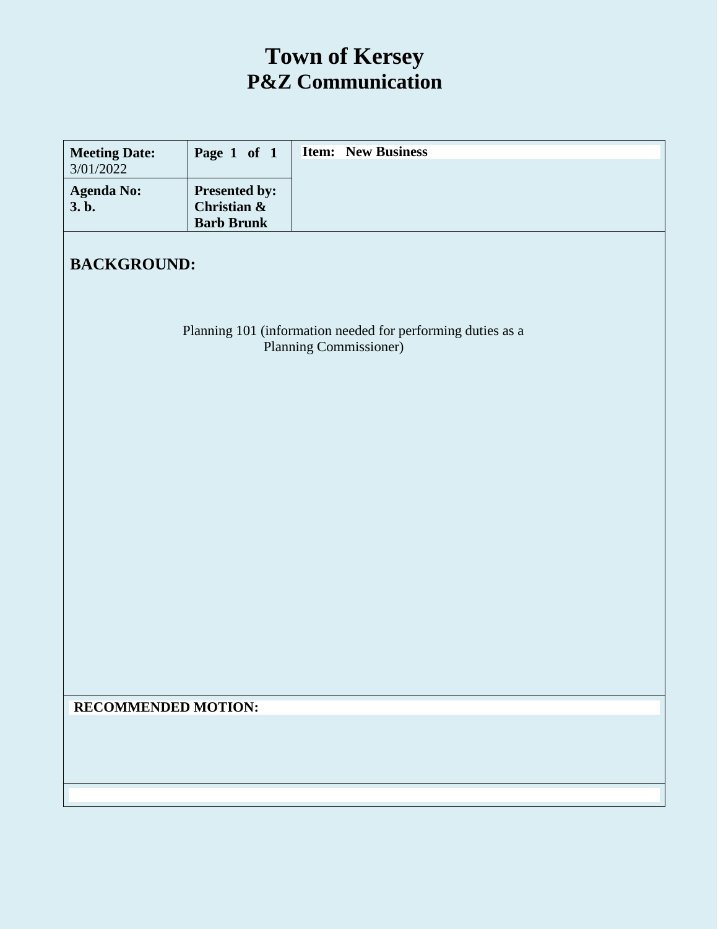### **Town of Kersey P&Z Communication**

| <b>Meeting Date:</b><br>3/01/2022                                                            | Page 1 of 1                                       | <b>Item:</b> New Business |  |  |
|----------------------------------------------------------------------------------------------|---------------------------------------------------|---------------------------|--|--|
| <b>Agenda No:</b><br>3.b.                                                                    | Presented by:<br>Christian &<br><b>Barb Brunk</b> |                           |  |  |
| <b>BACKGROUND:</b>                                                                           |                                                   |                           |  |  |
| Planning 101 (information needed for performing duties as a<br><b>Planning Commissioner)</b> |                                                   |                           |  |  |
|                                                                                              |                                                   |                           |  |  |
|                                                                                              |                                                   |                           |  |  |
|                                                                                              |                                                   |                           |  |  |
|                                                                                              |                                                   |                           |  |  |
|                                                                                              |                                                   |                           |  |  |
| <b>RECOMMENDED MOTION:</b>                                                                   |                                                   |                           |  |  |
|                                                                                              |                                                   |                           |  |  |
|                                                                                              |                                                   |                           |  |  |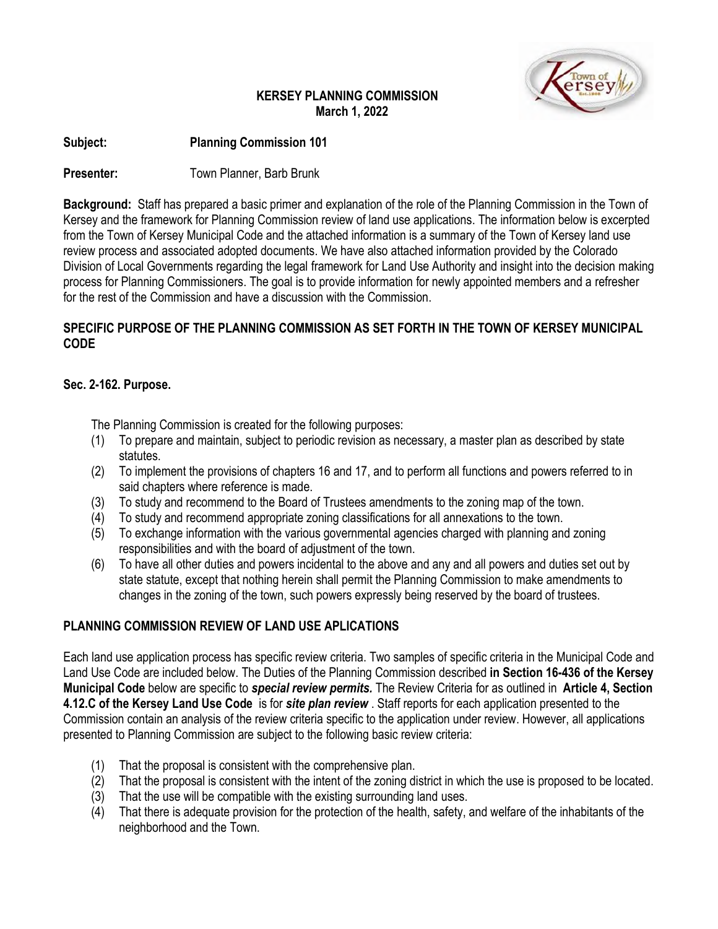### **KERSEY PLANNING COMMISSION March 1, 2022**



### **Subject: Planning Commission 101**

### **Presenter:** Town Planner, Barb Brunk

**Background:** Staff has prepared a basic primer and explanation of the role of the Planning Commission in the Town of Kersey and the framework for Planning Commission review of land use applications. The information below is excerpted from the Town of Kersey Municipal Code and the attached information is a summary of the Town of Kersey land use review process and associated adopted documents. We have also attached information provided by the Colorado Division of Local Governments regarding the legal framework for Land Use Authority and insight into the decision making process for Planning Commissioners. The goal is to provide information for newly appointed members and a refresher for the rest of the Commission and have a discussion with the Commission.

### **SPECIFIC PURPOSE OF THE PLANNING COMMISSION AS SET FORTH IN THE TOWN OF KERSEY MUNICIPAL CODE**

### **Sec. 2-162. Purpose.**

The Planning Commission is created for the following purposes:

- (1) To prepare and maintain, subject to periodic revision as necessary, a master plan as described by state statutes.
- (2) To implement the provisions of chapters 16 and 17, and to perform all functions and powers referred to in said chapters where reference is made.
- (3) To study and recommend to the Board of Trustees amendments to the zoning map of the town.
- (4) To study and recommend appropriate zoning classifications for all annexations to the town.
- (5) To exchange information with the various governmental agencies charged with planning and zoning responsibilities and with the board of adjustment of the town.
- (6) To have all other duties and powers incidental to the above and any and all powers and duties set out by state statute, except that nothing herein shall permit the Planning Commission to make amendments to changes in the zoning of the town, such powers expressly being reserved by the board of trustees.

### **PLANNING COMMISSION REVIEW OF LAND USE APLICATIONS**

Each land use application process has specific review criteria. Two samples of specific criteria in the Municipal Code and Land Use Code are included below. The Duties of the Planning Commission described **in Section 16-436 of the Kersey Municipal Code** below are specific to *special review permits.* The Review Criteria for as outlined in **Article 4, Section 4.12.C of the Kersey Land Use Code** is for *site plan review* . Staff reports for each application presented to the Commission contain an analysis of the review criteria specific to the application under review. However, all applications presented to Planning Commission are subject to the following basic review criteria:

- (1) That the proposal is consistent with the comprehensive plan.
- (2) That the proposal is consistent with the intent of the zoning district in which the use is proposed to be located.
- (3) That the use will be compatible with the existing surrounding land uses.
- (4) That there is adequate provision for the protection of the health, safety, and welfare of the inhabitants of the neighborhood and the Town.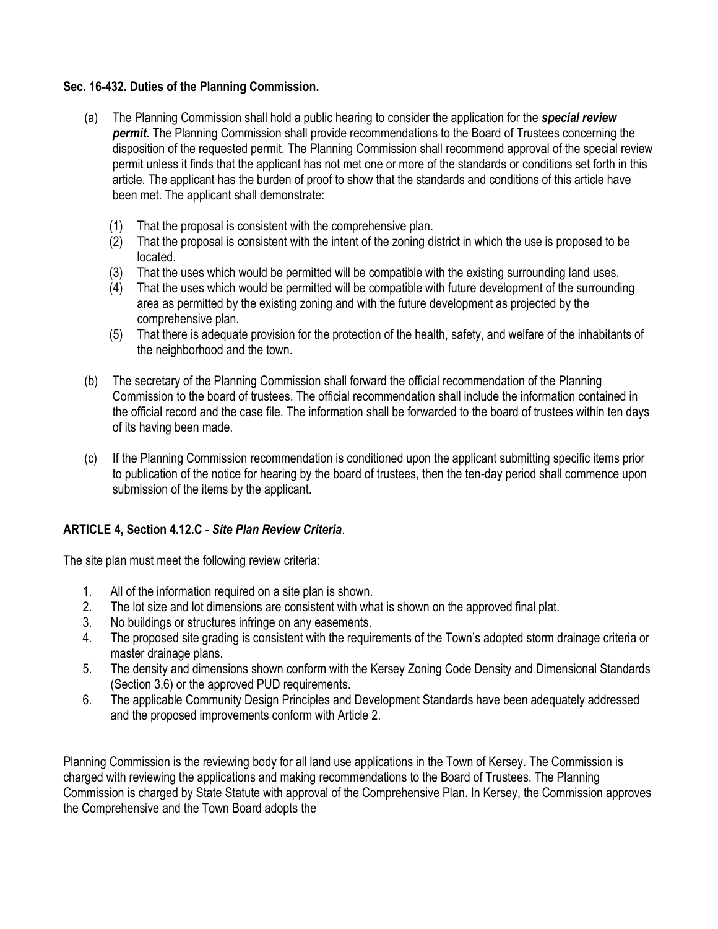### **Sec. 16-432. Duties of the Planning Commission.**

- (a) The Planning Commission shall hold a public hearing to consider the application for the *special review*  **permit.** The Planning Commission shall provide recommendations to the Board of Trustees concerning the disposition of the requested permit. The Planning Commission shall recommend approval of the special review permit unless it finds that the applicant has not met one or more of the standards or conditions set forth in this article. The applicant has the burden of proof to show that the standards and conditions of this article have been met. The applicant shall demonstrate:
	- (1) That the proposal is consistent with the comprehensive plan.
	- (2) That the proposal is consistent with the intent of the zoning district in which the use is proposed to be located.
	- (3) That the uses which would be permitted will be compatible with the existing surrounding land uses.
	- (4) That the uses which would be permitted will be compatible with future development of the surrounding area as permitted by the existing zoning and with the future development as projected by the comprehensive plan.
	- (5) That there is adequate provision for the protection of the health, safety, and welfare of the inhabitants of the neighborhood and the town.
- (b) The secretary of the Planning Commission shall forward the official recommendation of the Planning Commission to the board of trustees. The official recommendation shall include the information contained in the official record and the case file. The information shall be forwarded to the board of trustees within ten days of its having been made.
- (c) If the Planning Commission recommendation is conditioned upon the applicant submitting specific items prior to publication of the notice for hearing by the board of trustees, then the ten-day period shall commence upon submission of the items by the applicant.

### **ARTICLE 4, Section 4.12.C** - *Site Plan Review Criteria*.

The site plan must meet the following review criteria:

- 1. All of the information required on a site plan is shown.
- 2. The lot size and lot dimensions are consistent with what is shown on the approved final plat.
- 3. No buildings or structures infringe on any easements.
- 4. The proposed site grading is consistent with the requirements of the Town's adopted storm drainage criteria or master drainage plans.
- 5. The density and dimensions shown conform with the Kersey Zoning Code Density and Dimensional Standards (Section 3.6) or the approved PUD requirements.
- 6. The applicable Community Design Principles and Development Standards have been adequately addressed and the proposed improvements conform with Article 2.

Planning Commission is the reviewing body for all land use applications in the Town of Kersey. The Commission is charged with reviewing the applications and making recommendations to the Board of Trustees. The Planning Commission is charged by State Statute with approval of the Comprehensive Plan. In Kersey, the Commission approves the Comprehensive and the Town Board adopts the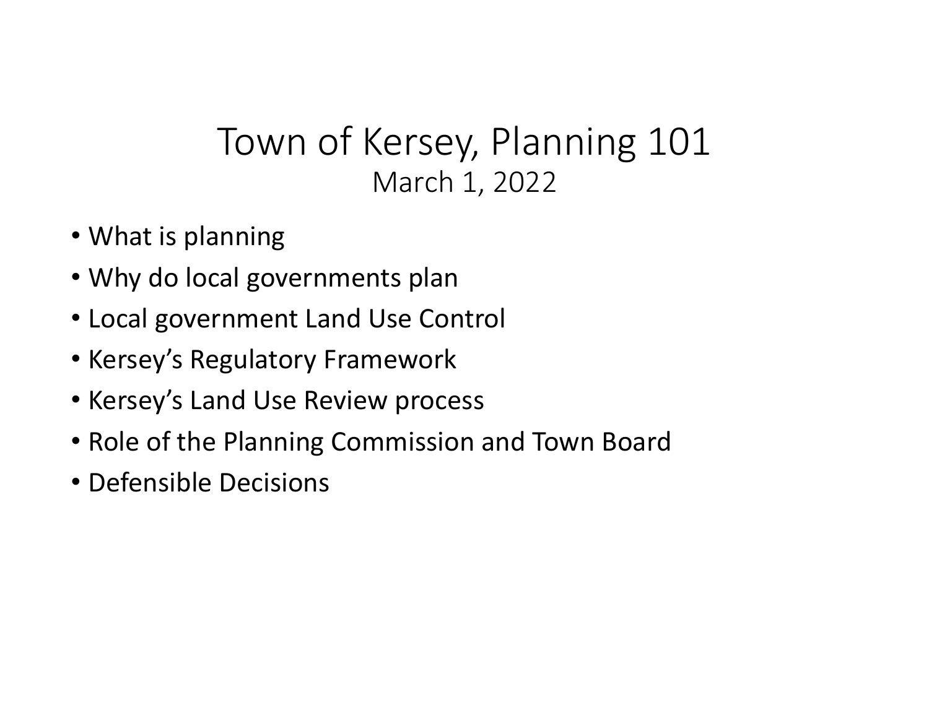# Town of Kersey, Planning 101 March 1, 2022

- What is planning
- Why do local governments plan
- Local government Land Use Control
- Kersey's Regulatory Framework
- Kersey's Land Use Review process
- Role of the Planning Commission and Town Board
- Defensible Decisions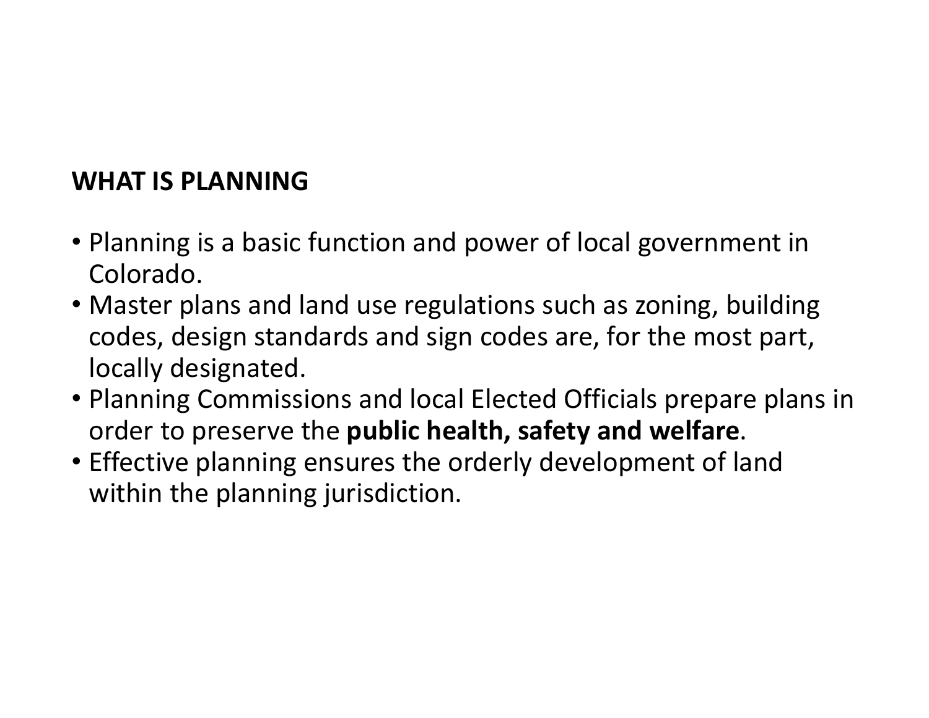# **WHAT IS PLANNING**

- Planning is a basic function and power of local government in Colorado.
- Master plans and land use regulations such as zoning, building codes, design standards and sign codes are, for the most part, locally designated.
- Planning Commissions and local Elected Officials prepare plans in order to preserve the **public health, safety and welfare**.
- Effective planning ensures the orderly development of land within the planning jurisdiction.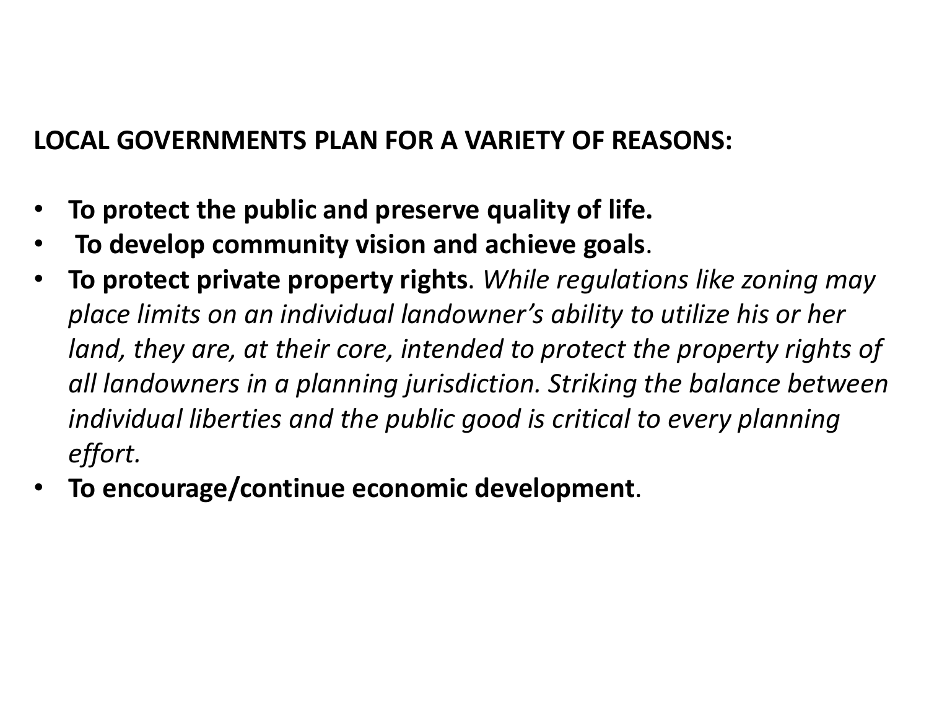# **LOCAL GOVERNMENTS PLAN FOR A VARIETY OF REASONS:**

- **To protect the public and preserve quality of life.**
- **To develop community vision and achieve goals**.
- **To protect private property rights**. *While regulations like zoning may place limits on an individual landowner's ability to utilize his or her*  land, they are, at their core, intended to protect the property rights of *all landowners in a planning jurisdiction. Striking the balance between individual liberties and the public good is critical to every planning effort.*
- **To encourage/continue economic development**.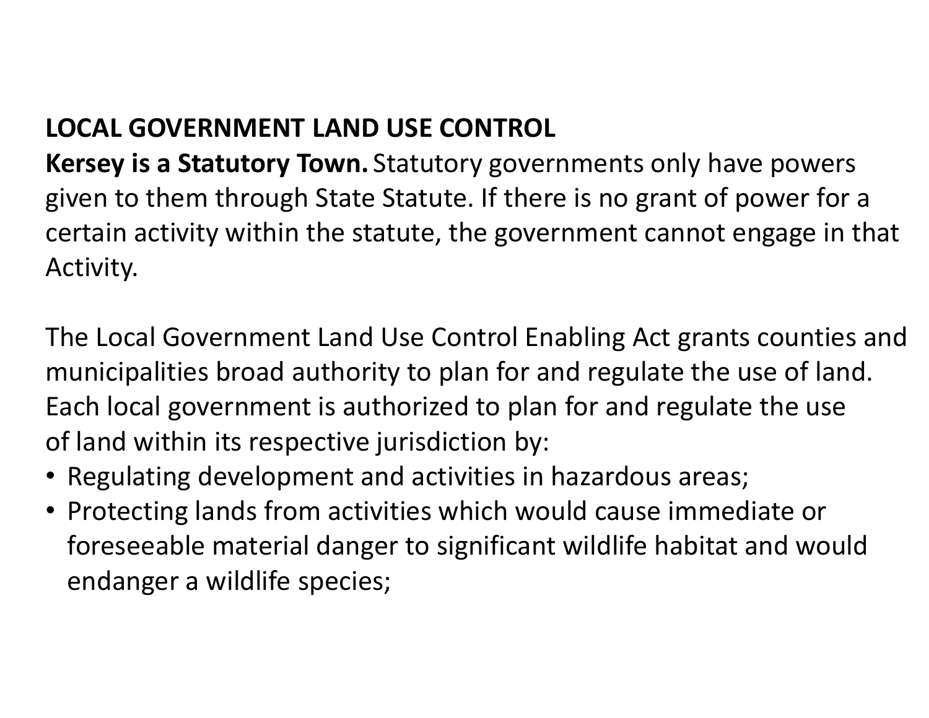# **LOCAL GOVERNMENT LAND USE CONTROL**

**Kersey is a Statutory Town.** Statutory governments only have powers given to them through State Statute. If there is no grant of power for a certain activity within the statute, the government cannot engage in that Activity.

The Local Government Land Use Control Enabling Act grants counties and municipalities broad authority to plan for and regulate the use of land. Each local government is authorized to plan for and regulate the use of land within its respective jurisdiction by:

- Regulating development and activities in hazardous areas;
- Protecting lands from activities which would cause immediate or foreseeable material danger to significant wildlife habitat and would endanger a wildlife species;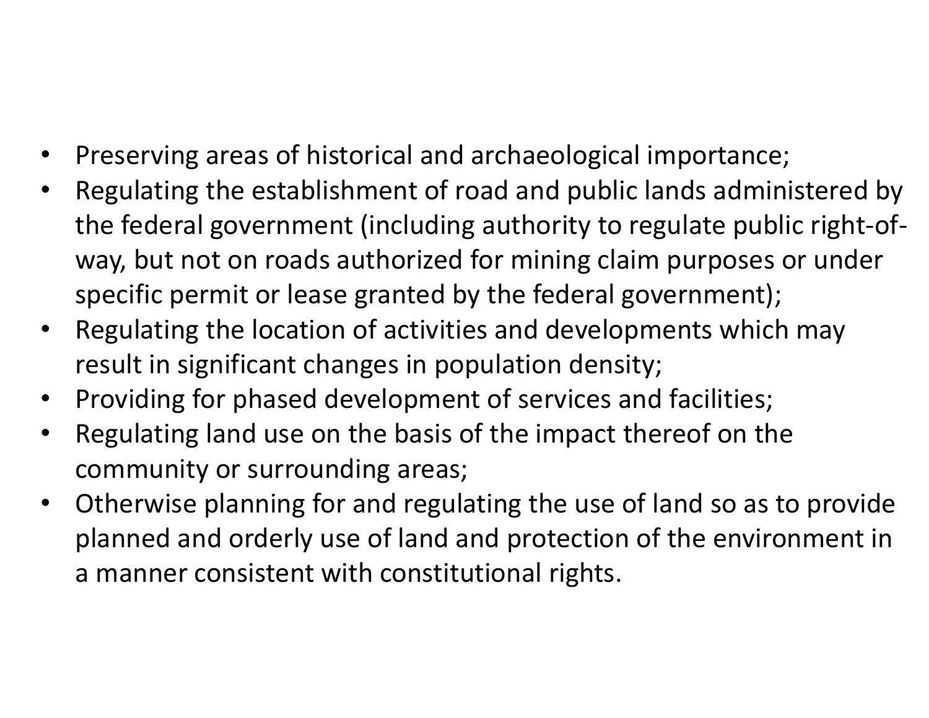- Preserving areas of historical and archaeological importance;
- Regulating the establishment of road and public lands administered by the federal government (including authority to regulate public right-ofway, but not on roads authorized for mining claim purposes or under specific permit or lease granted by the federal government);
- Regulating the location of activities and developments which may result in significant changes in population density;
- Providing for phased development of services and facilities;
- Regulating land use on the basis of the impact thereof on the community or surrounding areas;
- Otherwise planning for and regulating the use of land so as to provide planned and orderly use of land and protection of the environment in a manner consistent with constitutional rights.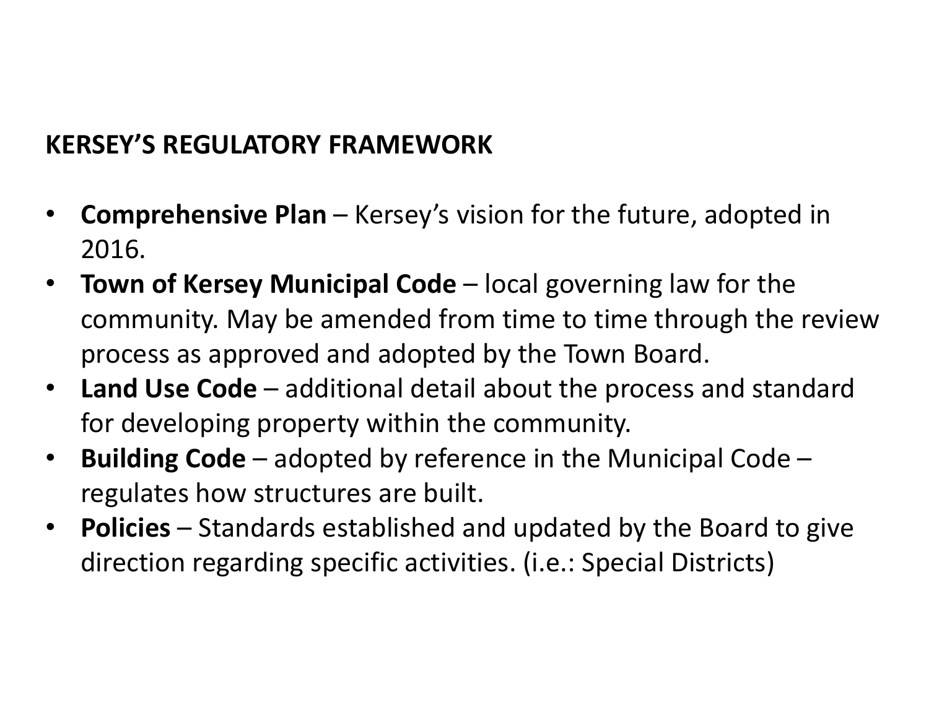# **KERSEY'S REGULATORY FRAMEWORK**

- **Comprehensive Plan**  Kersey's vision for the future, adopted in 2016.
- **Town of Kersey Municipal Code** local governing law for the community. May be amended from time to time through the review process as approved and adopted by the Town Board.
- **Land Use Code**  additional detail about the process and standard for developing property within the community.
- **Building Code**  adopted by reference in the Municipal Code regulates how structures are built.
- **Policies** Standards established and updated by the Board to give direction regarding specific activities. (i.e.: Special Districts)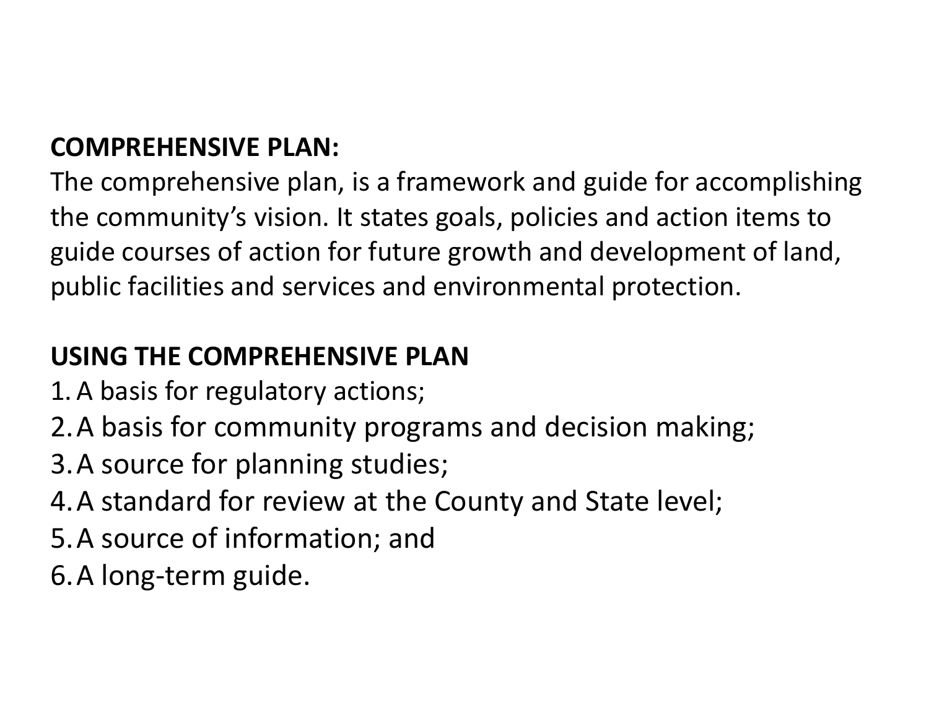# **COMPREHENSIVE PLAN:**

The comprehensive plan, is a framework and guide for accomplishing the community's vision. It states goals, policies and action items to guide courses of action for future growth and development of land, public facilities and services and environmental protection.

# **USING THE COMPREHENSIVE PLAN**

- 1.A basis for regulatory actions;
- 2.A basis for community programs and decision making;
- 3.A source for planning studies;
- 4.A standard for review at the County and State level;
- 5.A source of information; and
- 6.A long-term guide.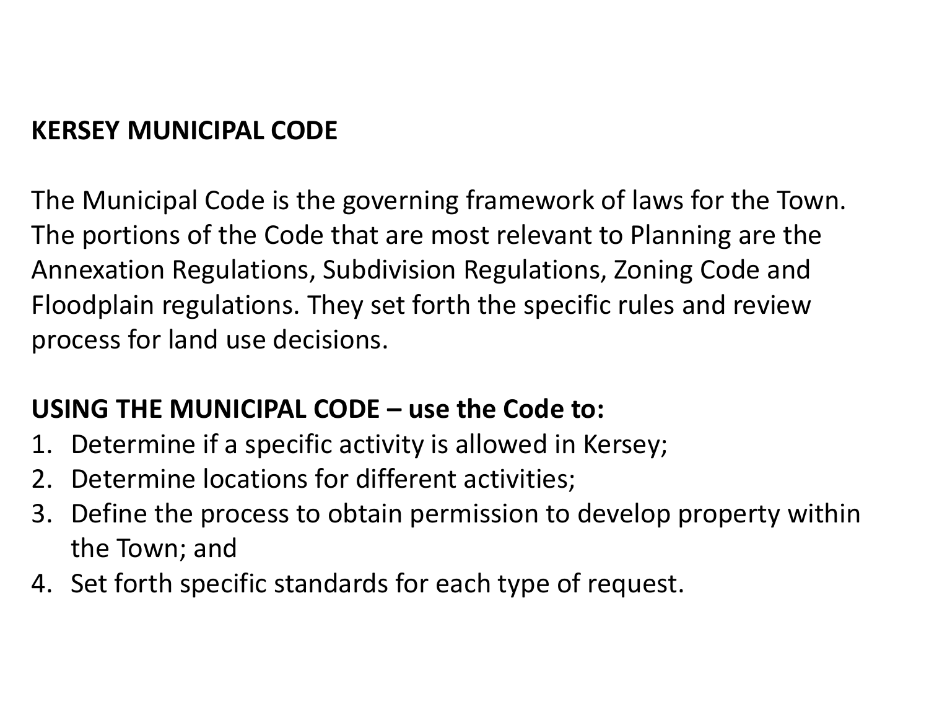# **KERSEY MUNICIPAL CODE**

The Municipal Code is the governing framework of laws for the Town. The portions of the Code that are most relevant to Planning are the Annexation Regulations, Subdivision Regulations, Zoning Code and Floodplain regulations. They set forth the specific rules and review process for land use decisions.

# **USING THE MUNICIPAL CODE – use the Code to:**

- 1. Determine if a specific activity is allowed in Kersey;
- 2. Determine locations for different activities;
- 3. Define the process to obtain permission to develop property within the Town; and
- 4. Set forth specific standards for each type of request.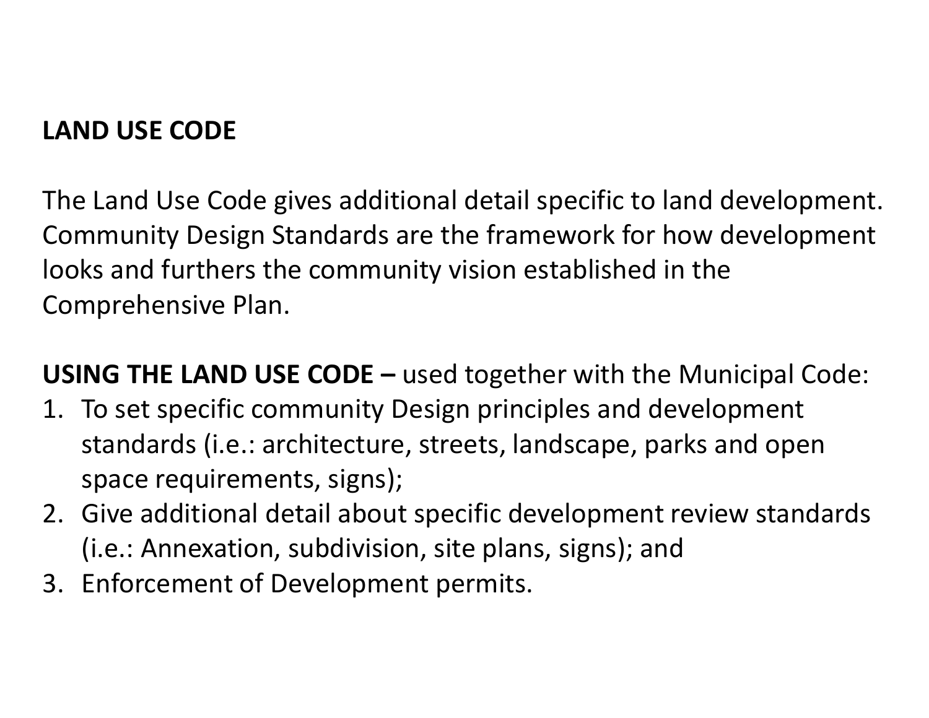# **LAND USE CODE**

The Land Use Code gives additional detail specific to land development. Community Design Standards are the framework for how development looks and furthers the community vision established in the Comprehensive Plan.

**USING THE LAND USE CODE –** used together with the Municipal Code:

- 1. To set specific community Design principles and development standards (i.e.: architecture, streets, landscape, parks and open space requirements, signs);
- 2. Give additional detail about specific development review standards (i.e.: Annexation, subdivision, site plans, signs); and
- 3. Enforcement of Development permits.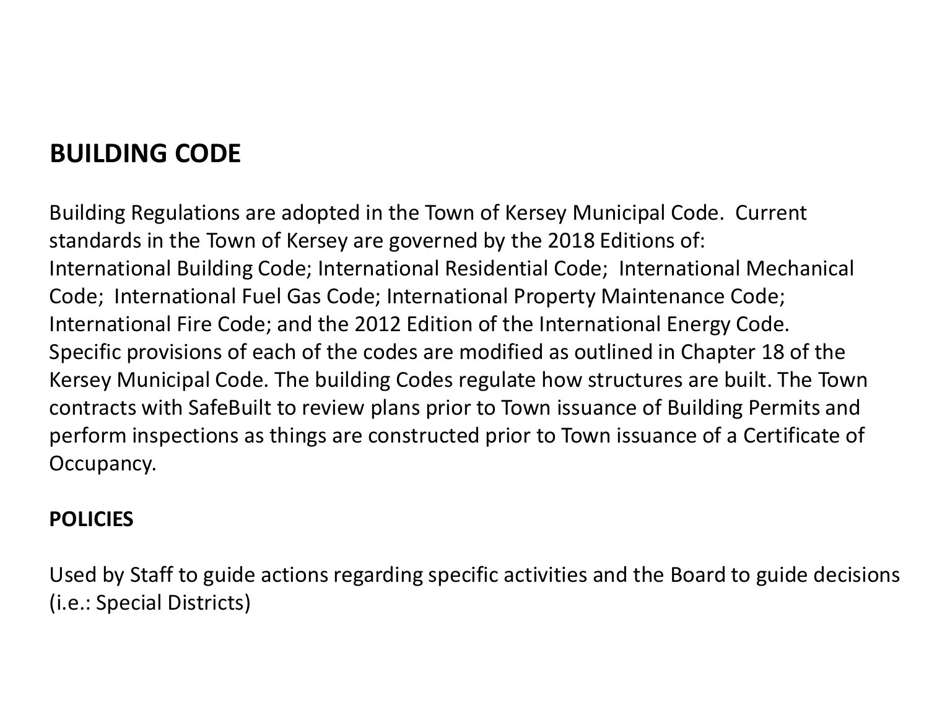# **BUILDING CODE**

Building Regulations are adopted in the Town of Kersey Municipal Code. Current standards in the Town of Kersey are governed by the 2018 Editions of: International Building Code; International Residential Code; International Mechanical Code; International Fuel Gas Code; International Property Maintenance Code; International Fire Code; and the 2012 Edition of the International Energy Code. Specific provisions of each of the codes are modified as outlined in Chapter 18 of the Kersey Municipal Code. The building Codes regulate how structures are built. The Town contracts with SafeBuilt to review plans prior to Town issuance of Building Permits and perform inspections as things are constructed prior to Town issuance of a Certificate of Occupancy.

### **POLICIES**

Used by Staff to guide actions regarding specific activities and the Board to guide decisions (i.e.: Special Districts)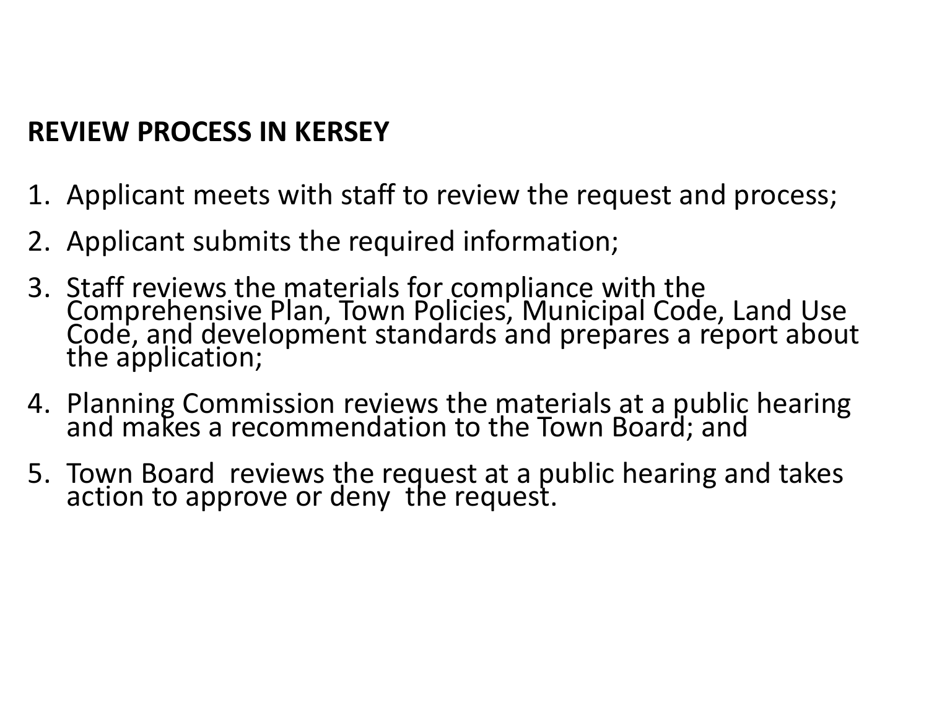# **REVIEW PROCESS IN KERSEY**

- 1. Applicant meets with staff to review the request and process;
- 2. Applicant submits the required information;
- 3. Staff reviews the materials for compliance with the Comprehensive Plan, Town Policies, Municipal Code, Land Use Code, and development standards and prepares a report about the application;
- 4. Planning Commission reviews the materials at a public hearing and makes a recommendation to the Town Board; and
- 5. Town Board reviews the request at a public hearing and takes action to approve or deny the request.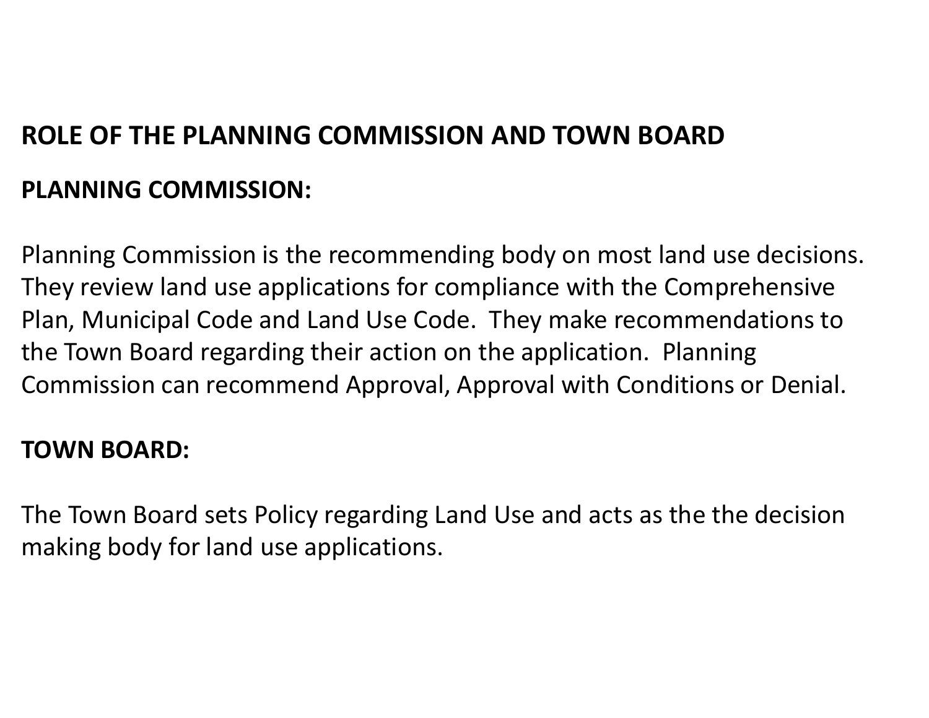# **ROLE OF THE PLANNING COMMISSION AND TOWN BOARD PLANNING COMMISSION:**

Planning Commission is the recommending body on most land use decisions. They review land use applications for compliance with the Comprehensive Plan, Municipal Code and Land Use Code. They make recommendations to the Town Board regarding their action on the application. Planning Commission can recommend Approval, Approval with Conditions or Denial.

# **TOWN BOARD:**

The Town Board sets Policy regarding Land Use and acts as the the decision making body for land use applications.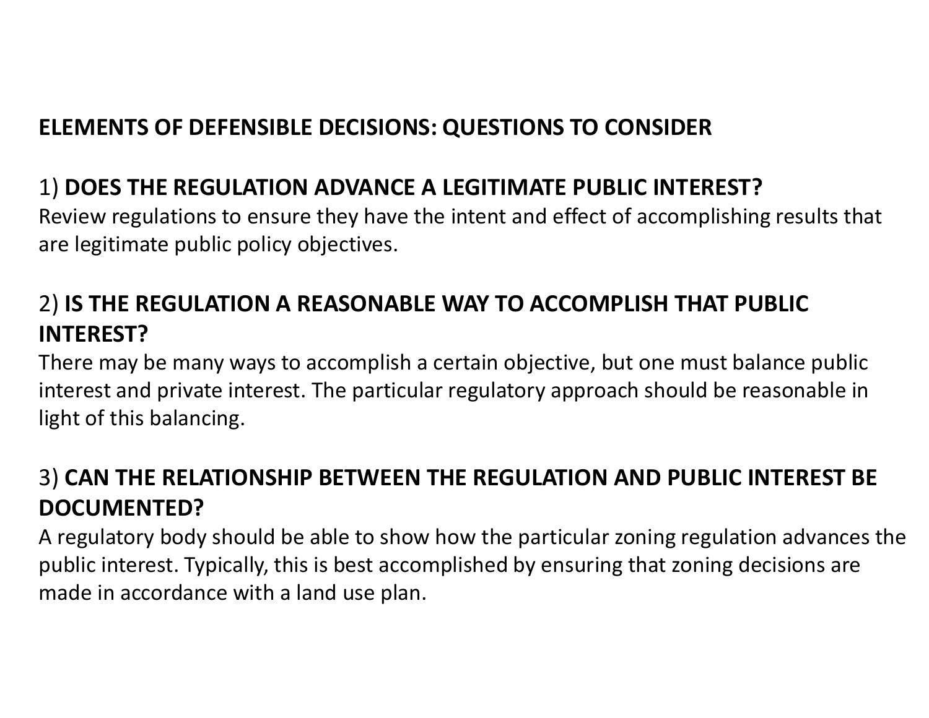# **ELEMENTS OF DEFENSIBLE DECISIONS: QUESTIONS TO CONSIDER**

# 1) **DOES THE REGULATION ADVANCE A LEGITIMATE PUBLIC INTEREST?**

Review regulations to ensure they have the intent and effect of accomplishing results that are legitimate public policy objectives.

# 2) **IS THE REGULATION A REASONABLE WAY TO ACCOMPLISH THAT PUBLIC INTEREST?**

There may be many ways to accomplish a certain objective, but one must balance public interest and private interest. The particular regulatory approach should be reasonable in light of this balancing.

# 3) **CAN THE RELATIONSHIP BETWEEN THE REGULATION AND PUBLIC INTEREST BE DOCUMENTED?**

A regulatory body should be able to show how the particular zoning regulation advances the public interest. Typically, this is best accomplished by ensuring that zoning decisions are made in accordance with a land use plan.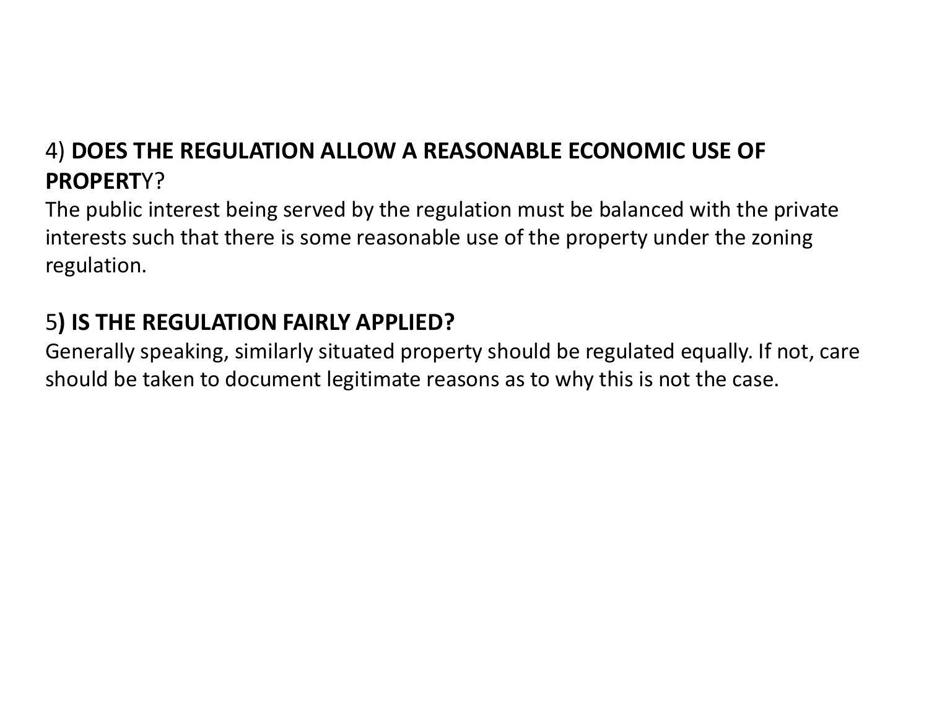# 4) **DOES THE REGULATION ALLOW A REASONABLE ECONOMIC USE OF PROPERT**Y?

The public interest being served by the regulation must be balanced with the private interests such that there is some reasonable use of the property under the zoning regulation.

# 5**) IS THE REGULATION FAIRLY APPLIED?**

Generally speaking, similarly situated property should be regulated equally. If not, care should be taken to document legitimate reasons as to why this is not the case.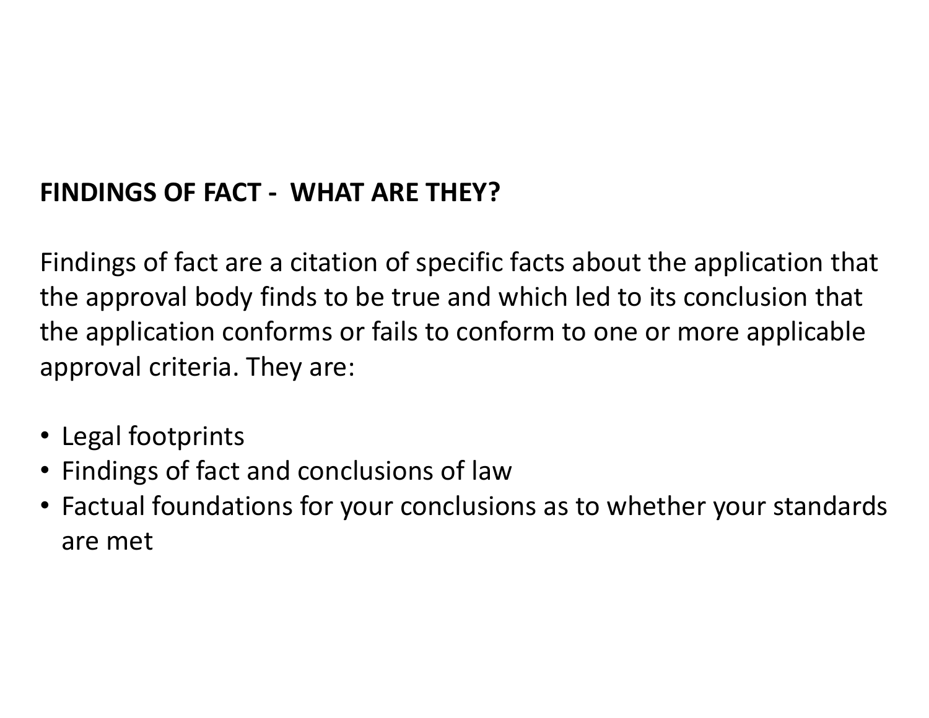# **FINDINGS OF FACT - WHAT ARE THEY?**

Findings of fact are a citation of specific facts about the application that the approval body finds to be true and which led to its conclusion that the application conforms or fails to conform to one or more applicable approval criteria. They are:

- Legal footprints
- Findings of fact and conclusions of law
- Factual foundations for your conclusions as to whether your standards are met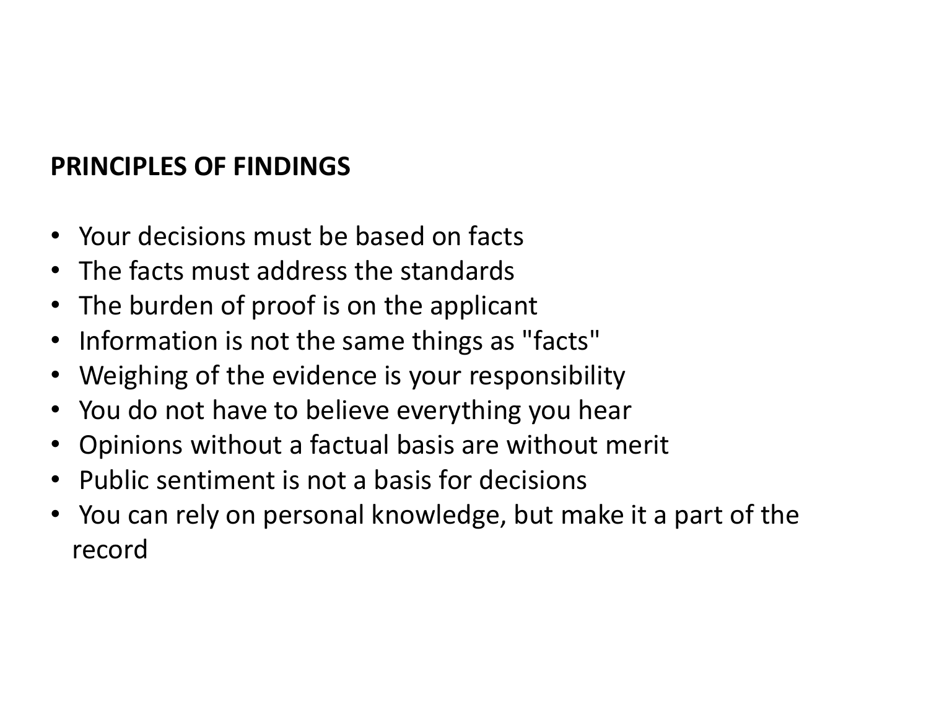# **PRINCIPLES OF FINDINGS**

- Your decisions must be based on facts
- The facts must address the standards
- The burden of proof is on the applicant
- Information is not the same things as "facts"
- Weighing of the evidence is your responsibility
- You do not have to believe everything you hear
- Opinions without a factual basis are without merit
- Public sentiment is not a basis for decisions
- You can rely on personal knowledge, but make it a part of the record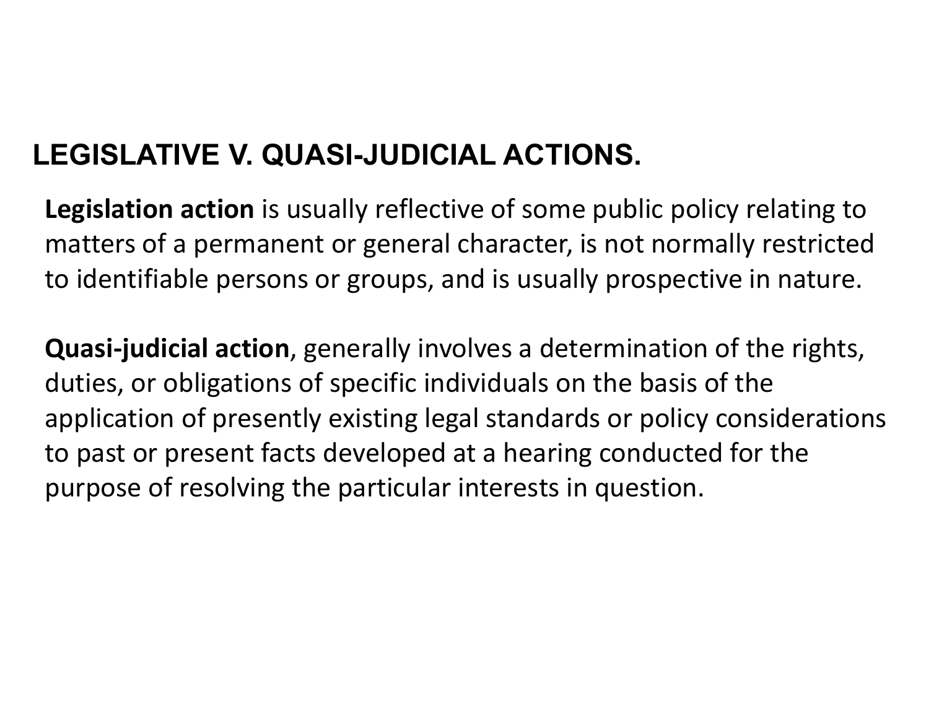# **LEGISLATIVE V. QUASI-JUDICIAL ACTIONS.**

**Legislation action** is usually reflective of some public policy relating to matters of a permanent or general character, is not normally restricted to identifiable persons or groups, and is usually prospective in nature.

**Quasi-judicial action**, generally involves a determination of the rights, duties, or obligations of specific individuals on the basis of the application of presently existing legal standards or policy considerations to past or present facts developed at a hearing conducted for the purpose of resolving the particular interests in question.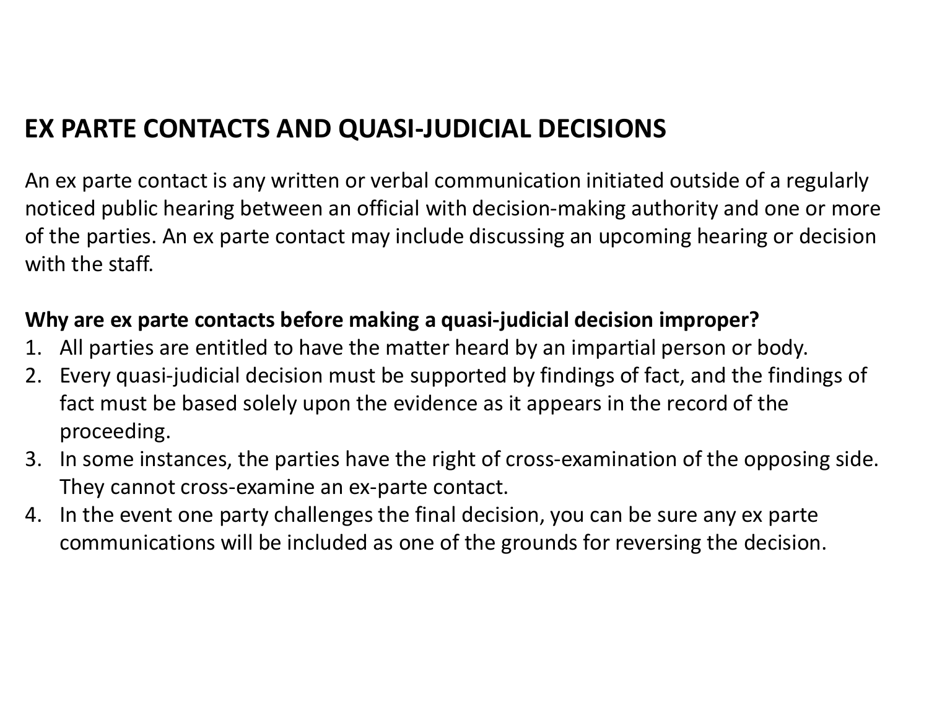# **EX PARTE CONTACTS AND QUASI-JUDICIAL DECISIONS**

An ex parte contact is any written or verbal communication initiated outside of a regularly noticed public hearing between an official with decision-making authority and one or more of the parties. An ex parte contact may include discussing an upcoming hearing or decision with the staff.

### **Why are ex parte contacts before making a quasi-judicial decision improper?**

- 1. All parties are entitled to have the matter heard by an impartial person or body.
- 2. Every quasi-judicial decision must be supported by findings of fact, and the findings of fact must be based solely upon the evidence as it appears in the record of the proceeding.
- 3. In some instances, the parties have the right of cross-examination of the opposing side. They cannot cross-examine an ex-parte contact.
- 4. In the event one party challenges the final decision, you can be sure any ex parte communications will be included as one of the grounds for reversing the decision.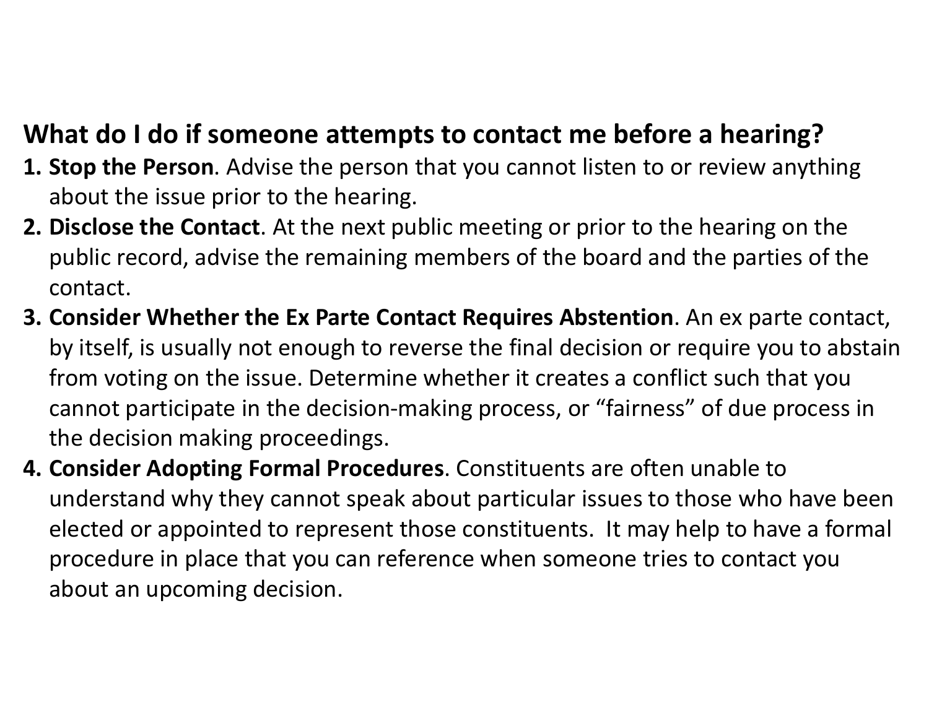# **What do I do if someone attempts to contact me before a hearing?**

- **1. Stop the Person**. Advise the person that you cannot listen to or review anything about the issue prior to the hearing.
- **2. Disclose the Contact**. At the next public meeting or prior to the hearing on the public record, advise the remaining members of the board and the parties of the contact.
- **3. Consider Whether the Ex Parte Contact Requires Abstention**. An ex parte contact, by itself, is usually not enough to reverse the final decision or require you to abstain from voting on the issue. Determine whether it creates a conflict such that you cannot participate in the decision-making process, or "fairness" of due process in the decision making proceedings.
- **4. Consider Adopting Formal Procedures**. Constituents are often unable to understand why they cannot speak about particular issues to those who have been elected or appointed to represent those constituents. It may help to have a formal procedure in place that you can reference when someone tries to contact you about an upcoming decision.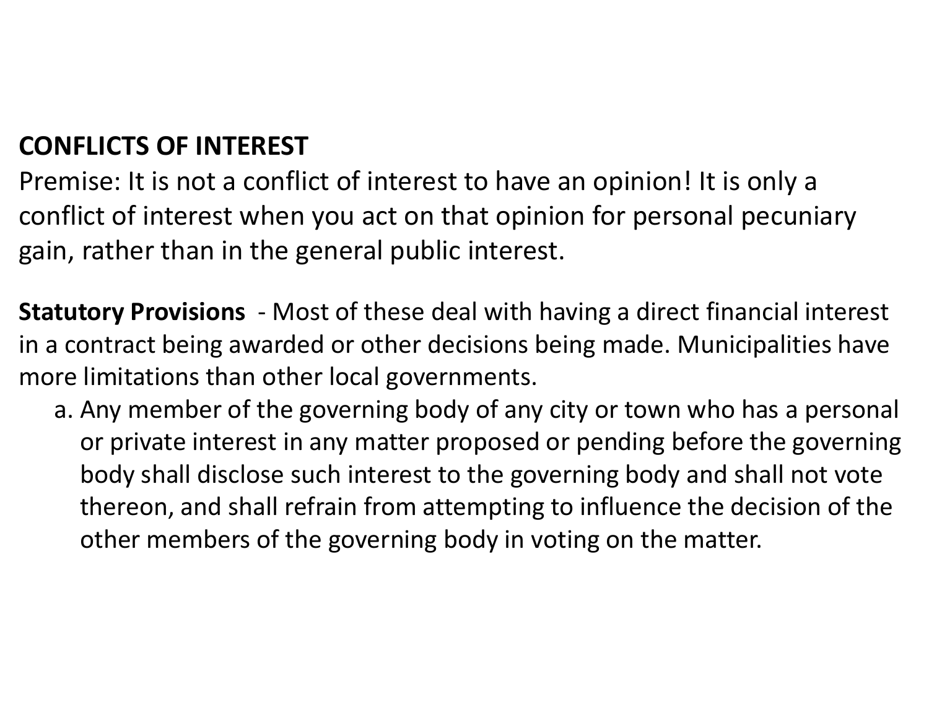# **CONFLICTS OF INTEREST**

Premise: It is not a conflict of interest to have an opinion! It is only a conflict of interest when you act on that opinion for personal pecuniary gain, rather than in the general public interest.

**Statutory Provisions** - Most of these deal with having a direct financial interest in a contract being awarded or other decisions being made. Municipalities have more limitations than other local governments.

a. Any member of the governing body of any city or town who has a personal or private interest in any matter proposed or pending before the governing body shall disclose such interest to the governing body and shall not vote thereon, and shall refrain from attempting to influence the decision of the other members of the governing body in voting on the matter.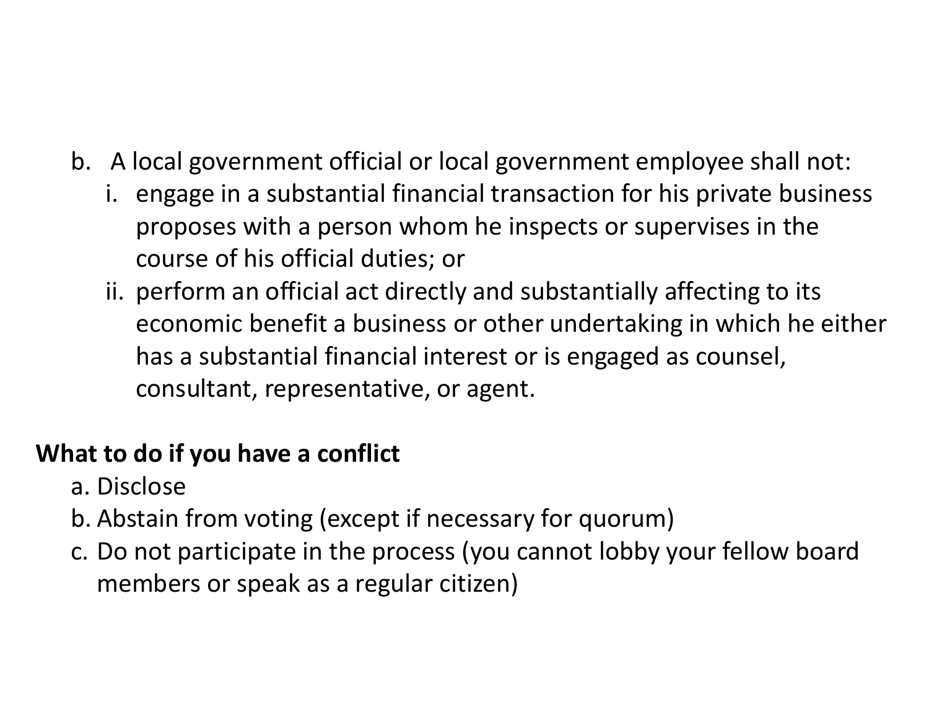- b. A local government official or local government employee shall not:
	- i. engage in a substantial financial transaction for his private business proposes with a person whom he inspects or supervises in the course of his official duties; or
	- ii. perform an official act directly and substantially affecting to its economic benefit a business or other undertaking in which he either has a substantial financial interest or is engaged as counsel, consultant, representative, or agent.

# **What to do if you have a conflict**

- a. Disclose
- b. Abstain from voting (except if necessary for quorum)
- c. Do not participate in the process (you cannot lobby your fellow board members or speak as a regular citizen)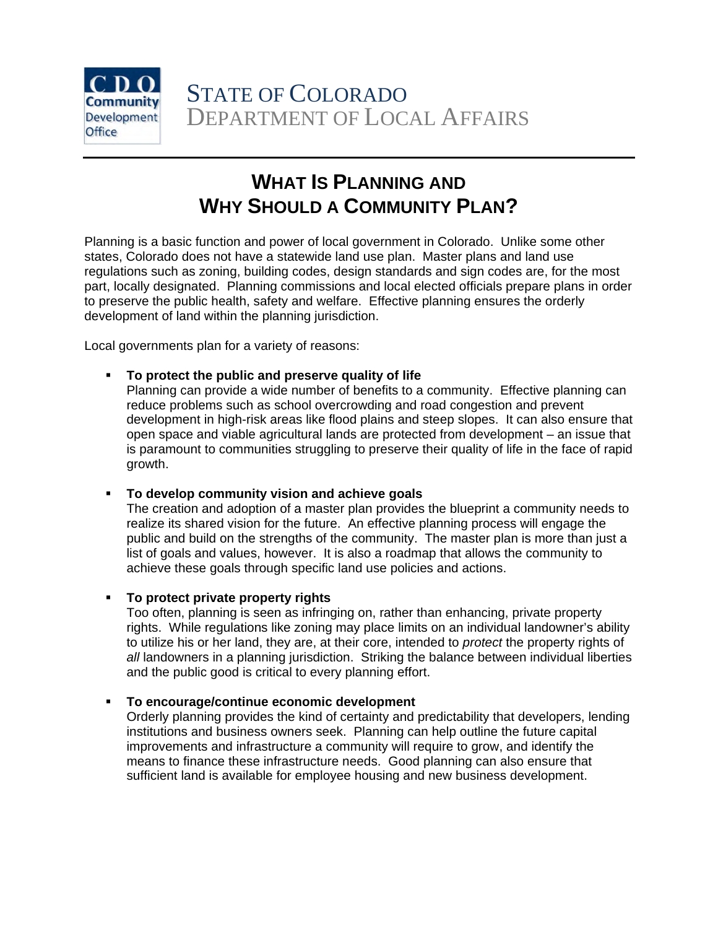

### **WHAT IS PLANNING AND WHY SHOULD A COMMUNITY PLAN?**

Planning is a basic function and power of local government in Colorado. Unlike some other states, Colorado does not have a statewide land use plan. Master plans and land use regulations such as zoning, building codes, design standards and sign codes are, for the most part, locally designated. Planning commissions and local elected officials prepare plans in order to preserve the public health, safety and welfare. Effective planning ensures the orderly development of land within the planning jurisdiction.

Local governments plan for a variety of reasons:

**To protect the public and preserve quality of life** 

Planning can provide a wide number of benefits to a community. Effective planning can reduce problems such as school overcrowding and road congestion and prevent development in high-risk areas like flood plains and steep slopes. It can also ensure that open space and viable agricultural lands are protected from development – an issue that is paramount to communities struggling to preserve their quality of life in the face of rapid growth.

### **To develop community vision and achieve goals**

The creation and adoption of a master plan provides the blueprint a community needs to realize its shared vision for the future. An effective planning process will engage the public and build on the strengths of the community. The master plan is more than just a list of goals and values, however. It is also a roadmap that allows the community to achieve these goals through specific land use policies and actions.

### **To protect private property rights**

Too often, planning is seen as infringing on, rather than enhancing, private property rights. While regulations like zoning may place limits on an individual landowner's ability to utilize his or her land, they are, at their core, intended to *protect* the property rights of *all* landowners in a planning jurisdiction. Striking the balance between individual liberties and the public good is critical to every planning effort.

### **To encourage/continue economic development**

Orderly planning provides the kind of certainty and predictability that developers, lending institutions and business owners seek. Planning can help outline the future capital improvements and infrastructure a community will require to grow, and identify the means to finance these infrastructure needs. Good planning can also ensure that sufficient land is available for employee housing and new business development.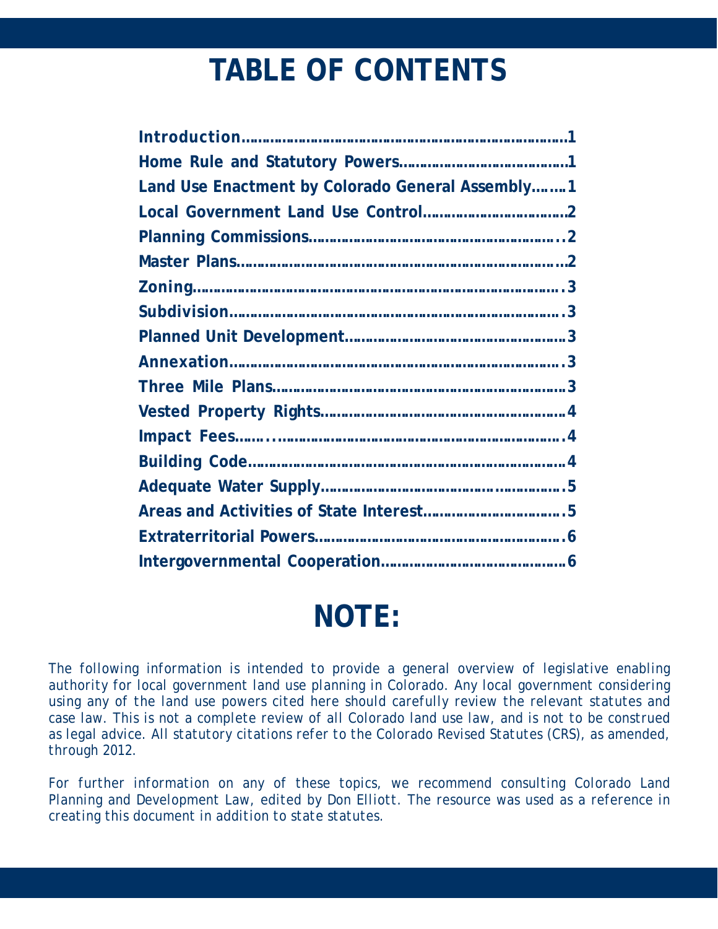# **TABLE OF CONTENTS**

| Land Use Enactment by Colorado General Assembly1 |  |  |  |
|--------------------------------------------------|--|--|--|
|                                                  |  |  |  |
|                                                  |  |  |  |
|                                                  |  |  |  |
|                                                  |  |  |  |
|                                                  |  |  |  |
|                                                  |  |  |  |
|                                                  |  |  |  |
|                                                  |  |  |  |
|                                                  |  |  |  |
|                                                  |  |  |  |
|                                                  |  |  |  |
|                                                  |  |  |  |
|                                                  |  |  |  |
|                                                  |  |  |  |
|                                                  |  |  |  |

# **NOTE:**

The following information is intended to provide a general overview of legislative enabling *authority for local government land use planning in Colorado. Any local government considering*  using any of the land use powers cited here should carefully review the relevant statutes and *case law. This is not a complete review of all Colorado land use law, and is not to be construed as legal advice. All statutory citations refer to the Colorado Revised Statutes (CRS), as amended, through 2012.* 

For further information on any of these topics, we recommend consulting Colorado Land *Planning and Development Law, edited by Don Elliott. The resource was used as a reference in creating this document in addition to state statutes.*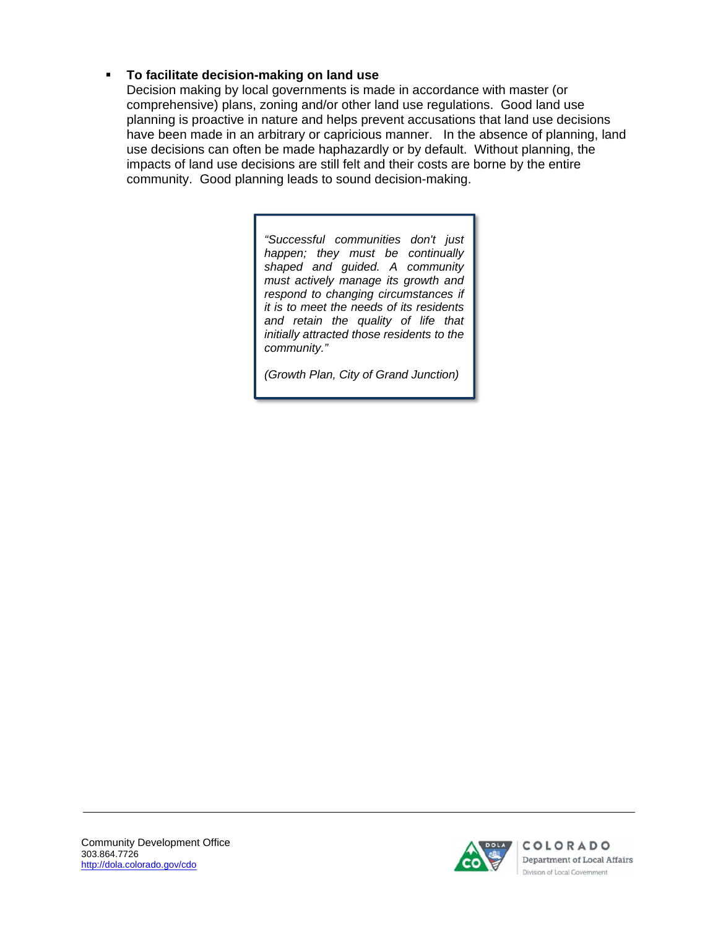### **To facilitate decision-making on land use**

Decision making by local governments is made in accordance with master (or comprehensive) plans, zoning and/or other land use regulations. Good land use planning is proactive in nature and helps prevent accusations that land use decisions have been made in an arbitrary or capricious manner. In the absence of planning, land use decisions can often be made haphazardly or by default. Without planning, the impacts of land use decisions are still felt and their costs are borne by the entire community. Good planning leads to sound decision-making.

> *"Successful communities don't just happen; they must be continually shaped and guided. A community must actively manage its growth and respond to changing circumstances if it is to meet the needs of its residents and retain the quality of life that initially attracted those residents to the community."*

*(Growth Plan, City of Grand Junction)* 

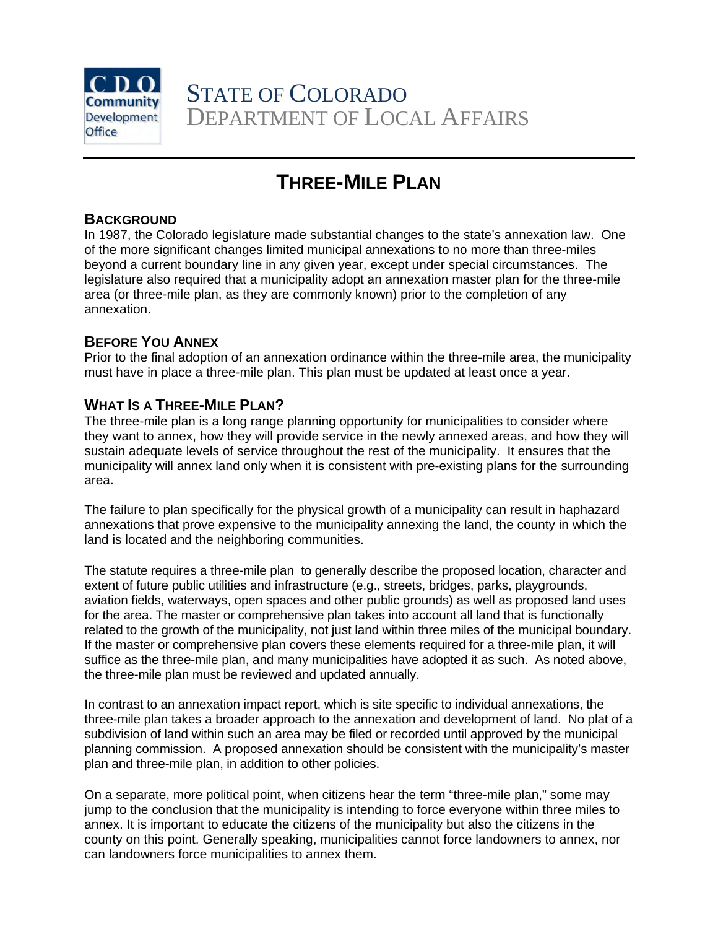

STATE OF COLORADO DEPARTMENT OF LOCAL AFFAIRS

### **THREE-MILE PLAN**

### **BACKGROUND**

In 1987, the Colorado legislature made substantial changes to the state's annexation law. One of the more significant changes limited municipal annexations to no more than three-miles beyond a current boundary line in any given year, except under special circumstances. The legislature also required that a municipality adopt an annexation master plan for the three-mile area (or three-mile plan, as they are commonly known) prior to the completion of any annexation.

### **BEFORE YOU ANNEX**

Prior to the final adoption of an annexation ordinance within the three-mile area, the municipality must have in place a three-mile plan. This plan must be updated at least once a year.

### **WHAT IS A THREE-MILE PLAN?**

The three-mile plan is a long range planning opportunity for municipalities to consider where they want to annex, how they will provide service in the newly annexed areas, and how they will sustain adequate levels of service throughout the rest of the municipality. It ensures that the municipality will annex land only when it is consistent with pre-existing plans for the surrounding area.

The failure to plan specifically for the physical growth of a municipality can result in haphazard annexations that prove expensive to the municipality annexing the land, the county in which the land is located and the neighboring communities.

The statute requires a three-mile plan to generally describe the proposed location, character and extent of future public utilities and infrastructure (e.g., streets, bridges, parks, playgrounds, aviation fields, waterways, open spaces and other public grounds) as well as proposed land uses for the area. The master or comprehensive plan takes into account all land that is functionally related to the growth of the municipality, not just land within three miles of the municipal boundary. If the master or comprehensive plan covers these elements required for a three-mile plan, it will suffice as the three-mile plan, and many municipalities have adopted it as such. As noted above, the three-mile plan must be reviewed and updated annually.

In contrast to an annexation impact report, which is site specific to individual annexations, the three-mile plan takes a broader approach to the annexation and development of land. No plat of a subdivision of land within such an area may be filed or recorded until approved by the municipal planning commission. A proposed annexation should be consistent with the municipality's master plan and three-mile plan, in addition to other policies.

On a separate, more political point, when citizens hear the term "three-mile plan," some may jump to the conclusion that the municipality is intending to force everyone within three miles to annex. It is important to educate the citizens of the municipality but also the citizens in the county on this point. Generally speaking, municipalities cannot force landowners to annex, nor can landowners force municipalities to annex them.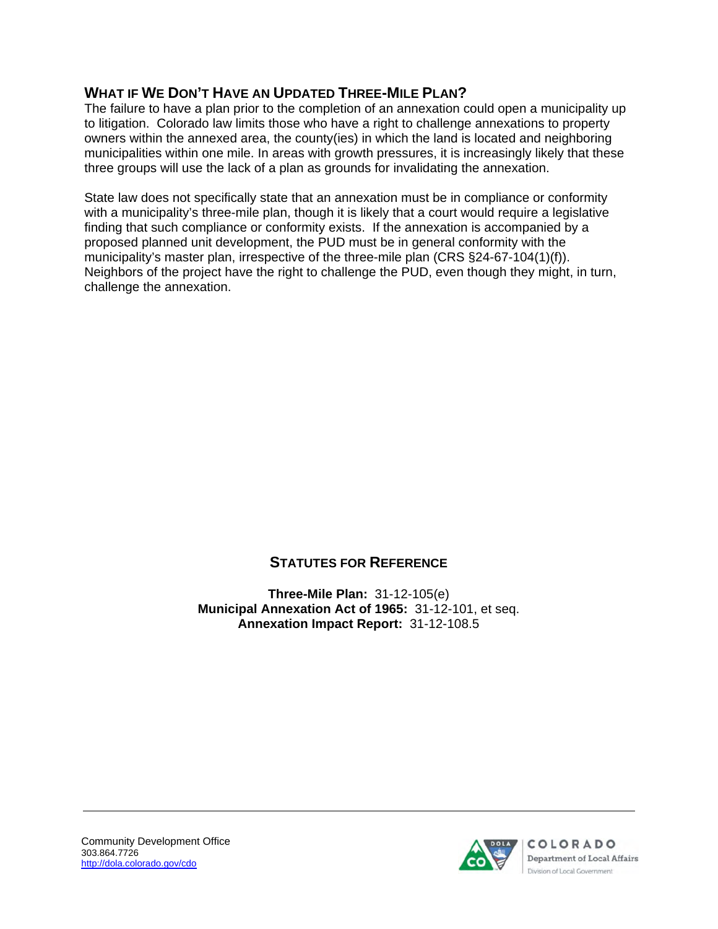### **WHAT IF WE DON'T HAVE AN UPDATED THREE-MILE PLAN?**

The failure to have a plan prior to the completion of an annexation could open a municipality up to litigation. Colorado law limits those who have a right to challenge annexations to property owners within the annexed area, the county(ies) in which the land is located and neighboring municipalities within one mile. In areas with growth pressures, it is increasingly likely that these three groups will use the lack of a plan as grounds for invalidating the annexation.

State law does not specifically state that an annexation must be in compliance or conformity with a municipality's three-mile plan, though it is likely that a court would require a legislative finding that such compliance or conformity exists. If the annexation is accompanied by a proposed planned unit development, the PUD must be in general conformity with the municipality's master plan, irrespective of the three-mile plan (CRS §24-67-104(1)(f)). Neighbors of the project have the right to challenge the PUD, even though they might, in turn, challenge the annexation.

### **STATUTES FOR REFERENCE**

**Three-Mile Plan:** 31-12-105(e) **Municipal Annexation Act of 1965:** 31-12-101, et seq. **Annexation Impact Report:** 31-12-108.5

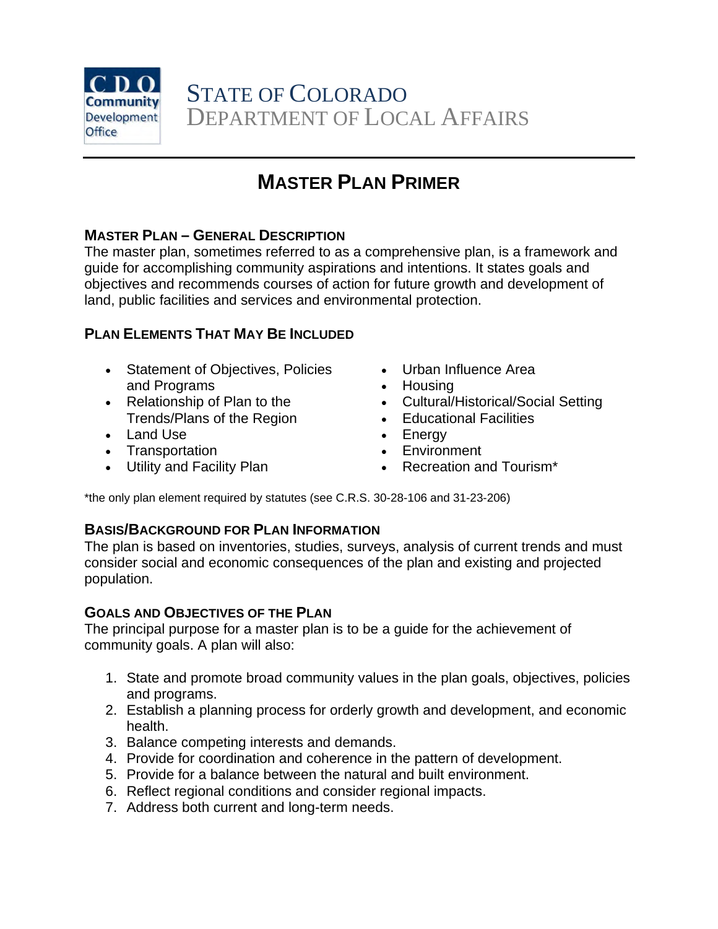

### **MASTER PLAN PRIMER**

### **MASTER PLAN – GENERAL DESCRIPTION**

The master plan, sometimes referred to as a comprehensive plan, is a framework and guide for accomplishing community aspirations and intentions. It states goals and objectives and recommends courses of action for future growth and development of land, public facilities and services and environmental protection.

### **PLAN ELEMENTS THAT MAY BE INCLUDED**

- Statement of Objectives, Policies and Programs
- Relationship of Plan to the Trends/Plans of the Region
- Land Use
- Transportation
- Utility and Facility Plan
- Urban Influence Area
- Housing
- Cultural/Historical/Social Setting
- Educational Facilities
- Energy
- Environment
- Recreation and Tourism<sup>\*</sup>

\*the only plan element required by statutes (see C.R.S. 30-28-106 and 31-23-206)

### **BASIS/BACKGROUND FOR PLAN INFORMATION**

The plan is based on inventories, studies, surveys, analysis of current trends and must consider social and economic consequences of the plan and existing and projected population.

### **GOALS AND OBJECTIVES OF THE PLAN**

The principal purpose for a master plan is to be a guide for the achievement of community goals. A plan will also:

- 1. State and promote broad community values in the plan goals, objectives, policies and programs.
- 2. Establish a planning process for orderly growth and development, and economic health.
- 3. Balance competing interests and demands.
- 4. Provide for coordination and coherence in the pattern of development.
- 5. Provide for a balance between the natural and built environment.
- 6. Reflect regional conditions and consider regional impacts.
- 7. Address both current and long-term needs.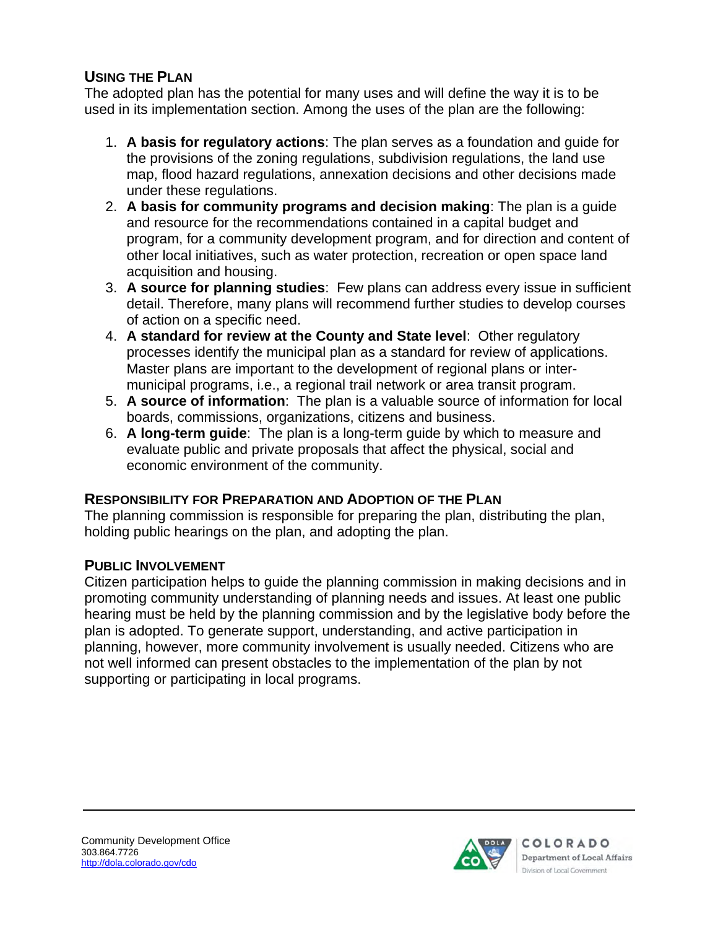### **USING THE PLAN**

The adopted plan has the potential for many uses and will define the way it is to be used in its implementation section. Among the uses of the plan are the following:

- 1. **A basis for regulatory actions**: The plan serves as a foundation and guide for the provisions of the zoning regulations, subdivision regulations, the land use map, flood hazard regulations, annexation decisions and other decisions made under these regulations.
- 2. **A basis for community programs and decision making**: The plan is a guide and resource for the recommendations contained in a capital budget and program, for a community development program, and for direction and content of other local initiatives, such as water protection, recreation or open space land acquisition and housing.
- 3. **A source for planning studies**: Few plans can address every issue in sufficient detail. Therefore, many plans will recommend further studies to develop courses of action on a specific need.
- 4. **A standard for review at the County and State level**: Other regulatory processes identify the municipal plan as a standard for review of applications. Master plans are important to the development of regional plans or intermunicipal programs, i.e., a regional trail network or area transit program.
- 5. **A source of information**: The plan is a valuable source of information for local boards, commissions, organizations, citizens and business.
- 6. **A long-term guide**: The plan is a long-term guide by which to measure and evaluate public and private proposals that affect the physical, social and economic environment of the community.

### **RESPONSIBILITY FOR PREPARATION AND ADOPTION OF THE PLAN**

The planning commission is responsible for preparing the plan, distributing the plan, holding public hearings on the plan, and adopting the plan.

### **PUBLIC INVOLVEMENT**

Citizen participation helps to guide the planning commission in making decisions and in promoting community understanding of planning needs and issues. At least one public hearing must be held by the planning commission and by the legislative body before the plan is adopted. To generate support, understanding, and active participation in planning, however, more community involvement is usually needed. Citizens who are not well informed can present obstacles to the implementation of the plan by not supporting or participating in local programs.

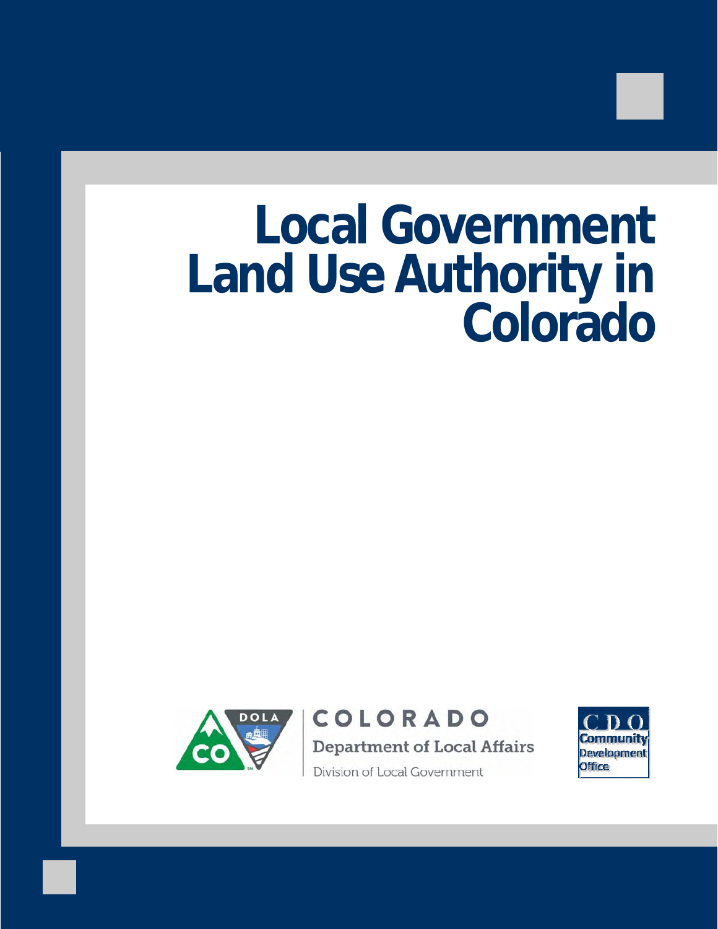# **Local Government Land Use Authority in Colorado**



COLORADO **Department of Local Affairs** Division of Local Government

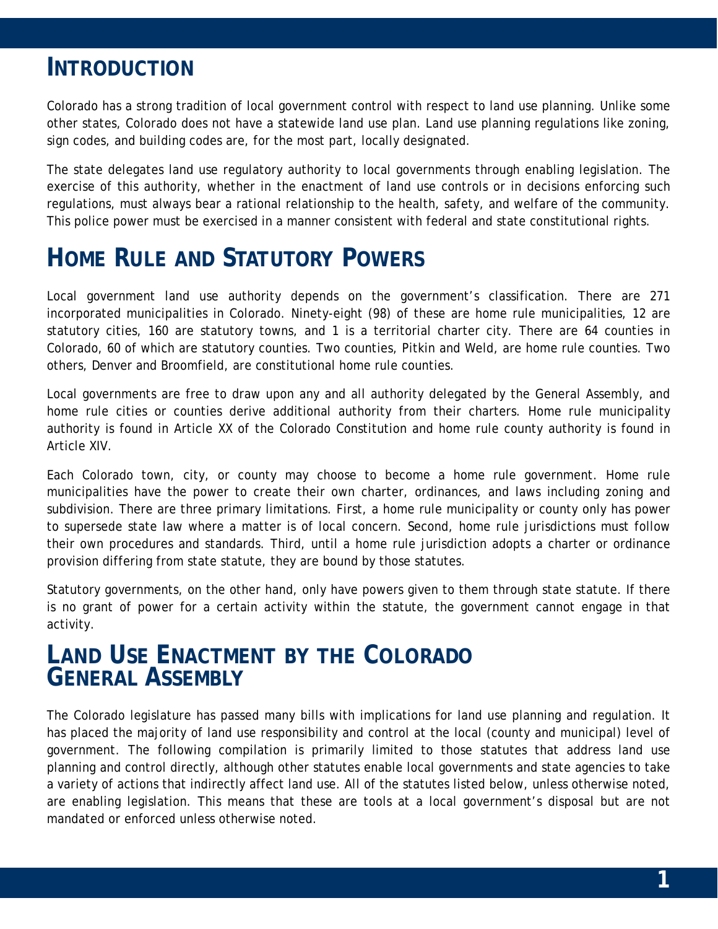### **INTRODUCTION**

Colorado has a strong tradition of local government control with respect to land use planning. Unlike some other states, Colorado does not have a statewide land use plan. Land use planning regulations like zoning, sign codes, and building codes are, for the most part, locally designated.

The state delegates land use regulatory authority to local governments through enabling legislation. The exercise of this authority, whether in the enactment of land use controls or in decisions enforcing such regulations, must always bear a rational relationship to the health, safety, and welfare of the community. This police power must be exercised in a manner consistent with federal and state constitutional rights.

# **HOME RULE AND STATUTORY POWERS**

Local government land use authority depends on the government's classification. There are 271 incorporated municipalities in Colorado. Ninety-eight (98) of these are home rule municipalities, 12 are statutory cities, 160 are statutory towns, and 1 is a territorial charter city. There are 64 counties in Colorado, 60 of which are statutory counties. Two counties, Pitkin and Weld, are home rule counties. Two others, Denver and Broomfield, are constitutional home rule counties.

Local governments are free to draw upon any and all authority delegated by the General Assembly, and home rule cities or counties derive additional authority from their charters. Home rule municipality authority is found in Article XX of the Colorado Constitution and home rule county authority is found in Article XIV.

Each Colorado town, city, or county may choose to become a home rule government. Home rule municipalities have the power to create their own charter, ordinances, and laws including zoning and subdivision. There are three primary limitations. First, a home rule municipality or county only has power to supersede state law where a matter is of local concern. Second, home rule jurisdictions must follow their own procedures and standards. Third, until a home rule jurisdiction adopts a charter or ordinance provision differing from state statute, they are bound by those statutes.

Statutory governments, on the other hand, only have powers given to them through state statute. If there is no grant of power for a certain activity within the statute, the government cannot engage in that activity.

# **LAND USE ENACTMENT BY THE COLORADO GENERAL ASSEMBLY**

The Colorado legislature has passed many bills with implications for land use planning and regulation. It has placed the majority of land use responsibility and control at the local (county and municipal) level of government. The following compilation is primarily limited to those statutes that address land use planning and control directly, although other statutes enable local governments and state agencies to take a variety of actions that indirectly affect land use. All of the statutes listed below, unless otherwise noted, are enabling legislation. This means that these are tools at a local government's disposal but are not mandated or enforced unless otherwise noted.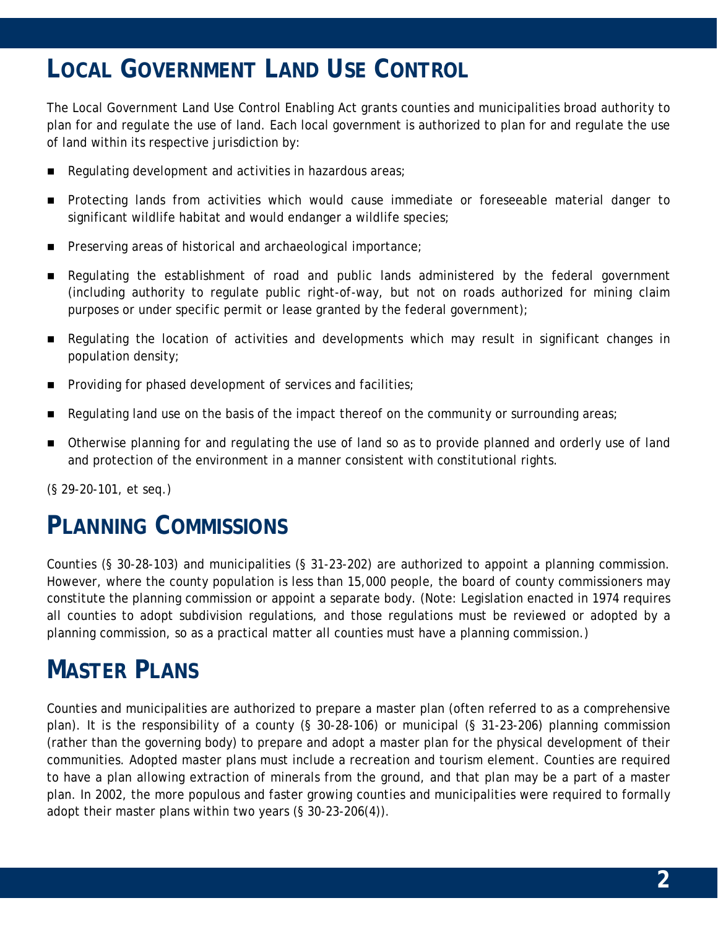# **LOCAL GOVERNMENT LAND USE CONTROL**

The Local Government Land Use Control Enabling Act grants counties and municipalities broad authority to plan for and regulate the use of land. Each local government is authorized to plan for and regulate the use of land within its respective jurisdiction by:

- Regulating development and activities in hazardous areas;
- Protecting lands from activities which would cause immediate or foreseeable material danger to significant wildlife habitat and would endanger a wildlife species;
- Preserving areas of historical and archaeological importance;
- Regulating the establishment of road and public lands administered by the federal government (including authority to regulate public right-of-way, but not on roads authorized for mining claim purposes or under specific permit or lease granted by the federal government);
- Regulating the location of activities and developments which may result in significant changes in population density;
- Providing for phased development of services and facilities;
- Regulating land use on the basis of the impact thereof on the community or surrounding areas;
- **Deap Therwise planning for and regulating the use of land so as to provide planned and orderly use of land** and protection of the environment in a manner consistent with constitutional rights.

(§ 29-20-101, et seq.)

## **PLANNING COMMISSIONS**

Counties (§ 30-28-103) and municipalities (§ 31-23-202) are authorized to appoint a planning commission. However, where the county population is less than 15,000 people, the board of county commissioners may constitute the planning commission or appoint a separate body. (Note: Legislation enacted in 1974 requires all counties to adopt subdivision regulations, and those regulations must be reviewed or adopted by a planning commission, so as a practical matter all counties must have a planning commission.)

# **MASTER PLANS**

Counties and municipalities are authorized to prepare a master plan (often referred to as a comprehensive plan). It is the responsibility of a county (§ 30-28-106) or municipal (§ 31-23-206) planning commission (rather than the governing body) to prepare and adopt a master plan for the physical development of their communities. Adopted master plans must include a recreation and tourism element. Counties are required to have a plan allowing extraction of minerals from the ground, and that plan may be a part of a master plan. In 2002, the more populous and faster growing counties and municipalities were required to formally adopt their master plans within two years (§ 30-23-206(4)).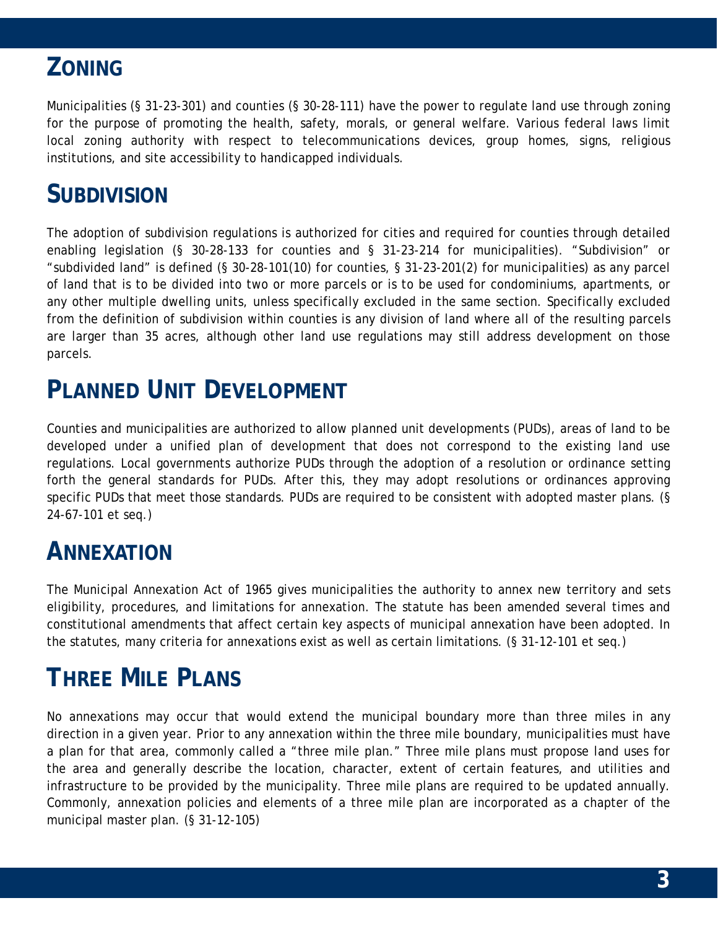### **ZONING**

Municipalities (§ 31-23-301) and counties (§ 30-28-111) have the power to regulate land use through zoning for the purpose of promoting the health, safety, morals, or general welfare. Various federal laws limit local zoning authority with respect to telecommunications devices, group homes, signs, religious institutions, and site accessibility to handicapped individuals.

### **SUBDIVISION**

The adoption of subdivision regulations is authorized for cities and required for counties through detailed enabling legislation (§ 30-28-133 for counties and § 31-23-214 for municipalities). "Subdivision" or "subdivided land" is defined (§ 30-28-101(10) for counties, § 31-23-201(2) for municipalities) as any parcel of land that is to be divided into two or more parcels or is to be used for condominiums, apartments, or any other multiple dwelling units, unless specifically excluded in the same section. Specifically excluded from the definition of subdivision within counties is any division of land where all of the resulting parcels are larger than 35 acres, although other land use regulations may still address development on those parcels.

# **PLANNED UNIT DEVELOPMENT**

Counties and municipalities are authorized to allow planned unit developments (PUDs), areas of land to be developed under a unified plan of development that does not correspond to the existing land use regulations. Local governments authorize PUDs through the adoption of a resolution or ordinance setting forth the general standards for PUDs. After this, they may adopt resolutions or ordinances approving specific PUDs that meet those standards. PUDs are required to be consistent with adopted master plans. (§ 24-67-101 et seq.)

### **ANNEXATION**

The Municipal Annexation Act of 1965 gives municipalities the authority to annex new territory and sets eligibility, procedures, and limitations for annexation. The statute has been amended several times and constitutional amendments that affect certain key aspects of municipal annexation have been adopted. In the statutes, many criteria for annexations exist as well as certain limitations. (§ 31-12-101 et seq.)

# **THREE MILE PLANS**

No annexations may occur that would extend the municipal boundary more than three miles in any direction in a given year. Prior to any annexation within the three mile boundary, municipalities must have a plan for that area, commonly called a "three mile plan." Three mile plans must propose land uses for the area and generally describe the location, character, extent of certain features, and utilities and infrastructure to be provided by the municipality. Three mile plans are required to be updated annually. Commonly, annexation policies and elements of a three mile plan are incorporated as a chapter of the municipal master plan. (§ 31-12-105)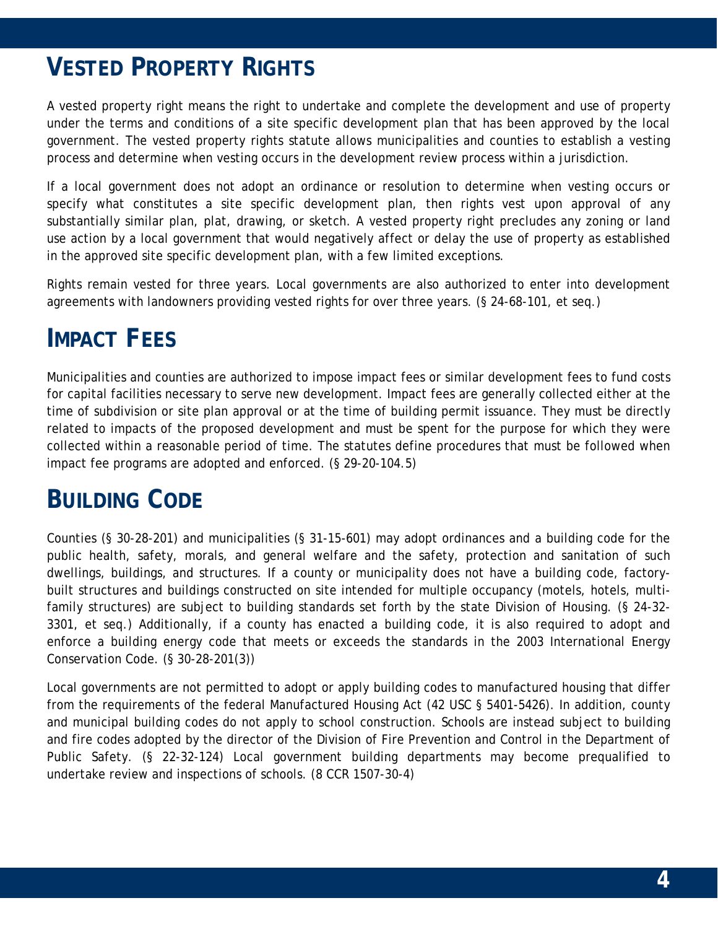# **VESTED PROPERTY RIGHTS**

A vested property right means the right to undertake and complete the development and use of property under the terms and conditions of a site specific development plan that has been approved by the local government. The vested property rights statute allows municipalities and counties to establish a vesting process and determine when vesting occurs in the development review process within a jurisdiction.

If a local government does not adopt an ordinance or resolution to determine when vesting occurs or specify what constitutes a site specific development plan, then rights vest upon approval of any substantially similar plan, plat, drawing, or sketch. A vested property right precludes any zoning or land use action by a local government that would negatively affect or delay the use of property as established in the approved site specific development plan, with a few limited exceptions.

Rights remain vested for three years. Local governments are also authorized to enter into development agreements with landowners providing vested rights for over three years. (§ 24-68-101, et seq.)

### **IMPACT FEES**

Municipalities and counties are authorized to impose impact fees or similar development fees to fund costs for capital facilities necessary to serve new development. Impact fees are generally collected either at the time of subdivision or site plan approval or at the time of building permit issuance. They must be directly related to impacts of the proposed development and must be spent for the purpose for which they were collected within a reasonable period of time. The statutes define procedures that must be followed when impact fee programs are adopted and enforced. (§ 29-20-104.5)

# **BUILDING CODE**

Counties (§ 30-28-201) and municipalities (§ 31-15-601) may adopt ordinances and a building code for the public health, safety, morals, and general welfare and the safety, protection and sanitation of such dwellings, buildings, and structures. If a county or municipality does not have a building code, factorybuilt structures and buildings constructed on site intended for multiple occupancy (motels, hotels, multifamily structures) are subject to building standards set forth by the state Division of Housing. (§ 24-32- 3301, et seq.) Additionally, if a county has enacted a building code, it is also required to adopt and enforce a building energy code that meets or exceeds the standards in the 2003 International Energy Conservation Code. (§ 30-28-201(3))

Local governments are not permitted to adopt or apply building codes to manufactured housing that differ from the requirements of the federal Manufactured Housing Act (42 USC § 5401-5426). In addition, county and municipal building codes do not apply to school construction. Schools are instead subject to building and fire codes adopted by the director of the Division of Fire Prevention and Control in the Department of Public Safety. (§ 22-32-124) Local government building departments may become prequalified to undertake review and inspections of schools. (8 CCR 1507-30-4)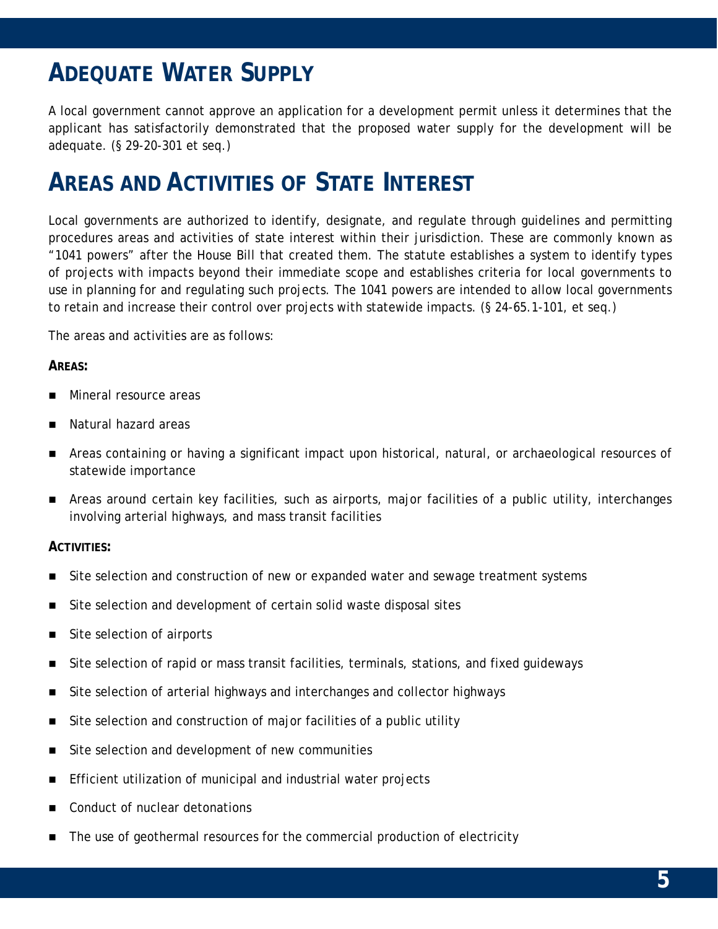# **ADEQUATE WATER SUPPLY**

A local government cannot approve an application for a development permit unless it determines that the applicant has satisfactorily demonstrated that the proposed water supply for the development will be adequate. (§ 29-20-301 et seq.)

## **AREAS AND ACTIVITIES OF STATE INTEREST**

Local governments are authorized to identify, designate, and regulate through guidelines and permitting procedures areas and activities of state interest within their jurisdiction. These are commonly known as "1041 powers" after the House Bill that created them. The statute establishes a system to identify types of projects with impacts beyond their immediate scope and establishes criteria for local governments to use in planning for and regulating such projects. The 1041 powers are intended to allow local governments to retain and increase their control over projects with statewide impacts. (§ 24-65.1-101, et seq.)

The areas and activities are as follows:

### **AREAS:**

- Mineral resource areas
- Natural hazard areas
- Areas containing or having a significant impact upon historical, natural, or archaeological resources of statewide importance
- Areas around certain key facilities, such as airports, major facilities of a public utility, interchanges involving arterial highways, and mass transit facilities

### **ACTIVITIES:**

- Site selection and construction of new or expanded water and sewage treatment systems
- Site selection and development of certain solid waste disposal sites
- Site selection of airports
- **Site selection of rapid or mass transit facilities, terminals, stations, and fixed guideways**
- Site selection of arterial highways and interchanges and collector highways
- Site selection and construction of major facilities of a public utility
- Site selection and development of new communities
- **Efficient utilization of municipal and industrial water projects**
- Conduct of nuclear detonations
- **The use of geothermal resources for the commercial production of electricity**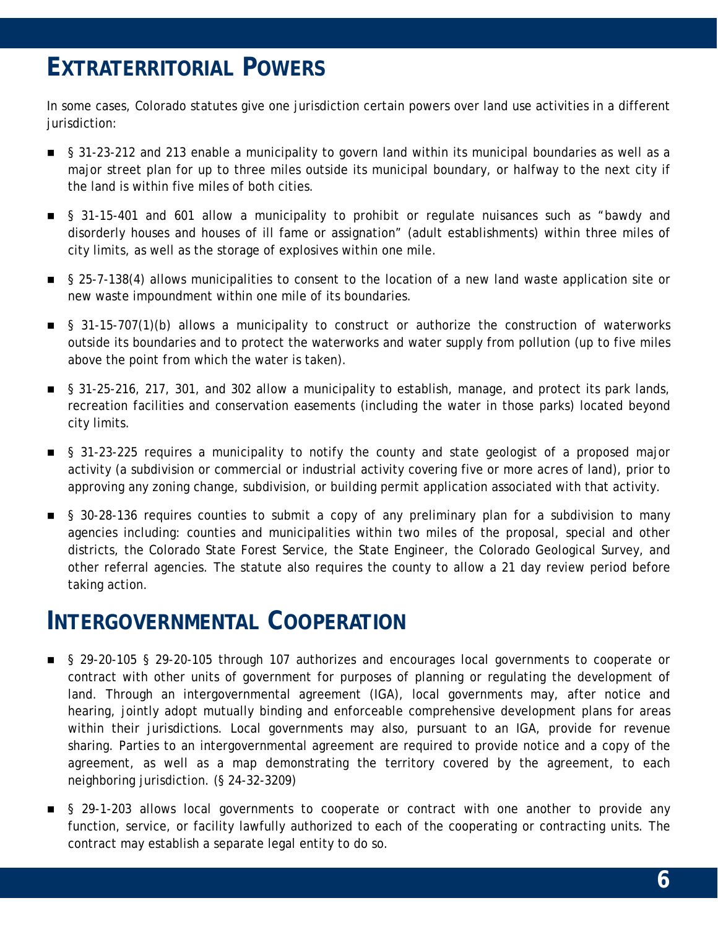## **EXTRATERRITORIAL POWERS**

In some cases, Colorado statutes give one jurisdiction certain powers over land use activities in a different jurisdiction:

- § 31-23-212 and 213 enable a municipality to govern land within its municipal boundaries as well as a major street plan for up to three miles outside its municipal boundary, or halfway to the next city if the land is within five miles of both cities.
- § 31-15-401 and 601 allow a municipality to prohibit or regulate nuisances such as "bawdy and disorderly houses and houses of ill fame or assignation" (adult establishments) within three miles of city limits, as well as the storage of explosives within one mile.
- § 25-7-138(4) allows municipalities to consent to the location of a new land waste application site or new waste impoundment within one mile of its boundaries.
- § 31-15-707(1)(b) allows a municipality to construct or authorize the construction of waterworks outside its boundaries and to protect the waterworks and water supply from pollution (up to five miles above the point from which the water is taken).
- § 31-25-216, 217, 301, and 302 allow a municipality to establish, manage, and protect its park lands, recreation facilities and conservation easements (including the water in those parks) located beyond city limits.
- § 31-23-225 requires a municipality to notify the county and state geologist of a proposed major activity (a subdivision or commercial or industrial activity covering five or more acres of land), prior to approving any zoning change, subdivision, or building permit application associated with that activity.
- § 30-28-136 requires counties to submit a copy of any preliminary plan for a subdivision to many agencies including: counties and municipalities within two miles of the proposal, special and other districts, the Colorado State Forest Service, the State Engineer, the Colorado Geological Survey, and other referral agencies. The statute also requires the county to allow a 21 day review period before taking action.

### **INTERGOVERNMENTAL COOPERATION**

- § 29-20-105 § 29-20-105 through 107 authorizes and encourages local governments to cooperate or contract with other units of government for purposes of planning or regulating the development of land. Through an intergovernmental agreement (IGA), local governments may, after notice and hearing, jointly adopt mutually binding and enforceable comprehensive development plans for areas within their jurisdictions. Local governments may also, pursuant to an IGA, provide for revenue sharing. Parties to an intergovernmental agreement are required to provide notice and a copy of the agreement, as well as a map demonstrating the territory covered by the agreement, to each neighboring jurisdiction. (§ 24-32-3209)
- § 29-1-203 allows local governments to cooperate or contract with one another to provide any function, service, or facility lawfully authorized to each of the cooperating or contracting units. The contract may establish a separate legal entity to do so.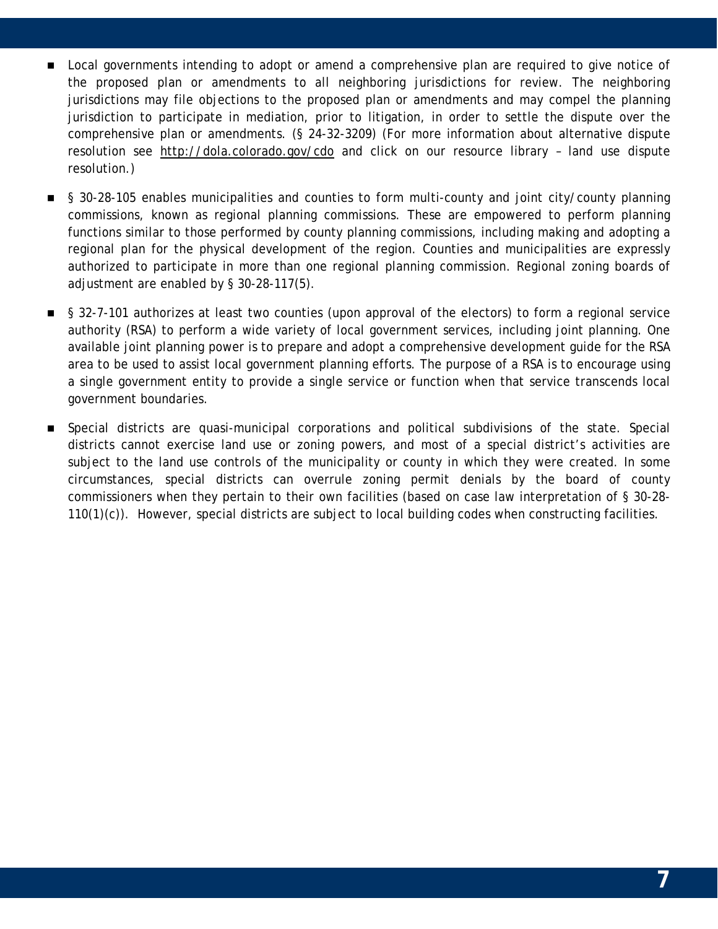- **Deal governments intending to adopt or amend a comprehensive plan are required to give notice of** the proposed plan or amendments to all neighboring jurisdictions for review. The neighboring jurisdictions may file objections to the proposed plan or amendments and may compel the planning jurisdiction to participate in mediation, prior to litigation, in order to settle the dispute over the comprehensive plan or amendments. (§ 24-32-3209) (For more information about alternative dispute resolution see http://dola.colorado.gov/cdo and click on our resource library – land use dispute resolution.)
- § 30-28-105 enables municipalities and counties to form multi-county and joint city/county planning commissions, known as regional planning commissions. These are empowered to perform planning functions similar to those performed by county planning commissions, including making and adopting a regional plan for the physical development of the region. Counties and municipalities are expressly authorized to participate in more than one regional planning commission. Regional zoning boards of adjustment are enabled by § 30-28-117(5).
- § 32-7-101 authorizes at least two counties (upon approval of the electors) to form a regional service authority (RSA) to perform a wide variety of local government services, including joint planning. One available joint planning power is to prepare and adopt a comprehensive development guide for the RSA area to be used to assist local government planning efforts. The purpose of a RSA is to encourage using a single government entity to provide a single service or function when that service transcends local government boundaries.
- **Special districts are quasi-municipal corporations and political subdivisions of the state. Special** districts cannot exercise land use or zoning powers, and most of a special district's activities are subject to the land use controls of the municipality or county in which they were created. In some circumstances, special districts can overrule zoning permit denials by the board of county commissioners when they pertain to their own facilities (based on case law interpretation of § 30-28- 110(1)(c)). However, special districts are subject to local building codes when constructing facilities.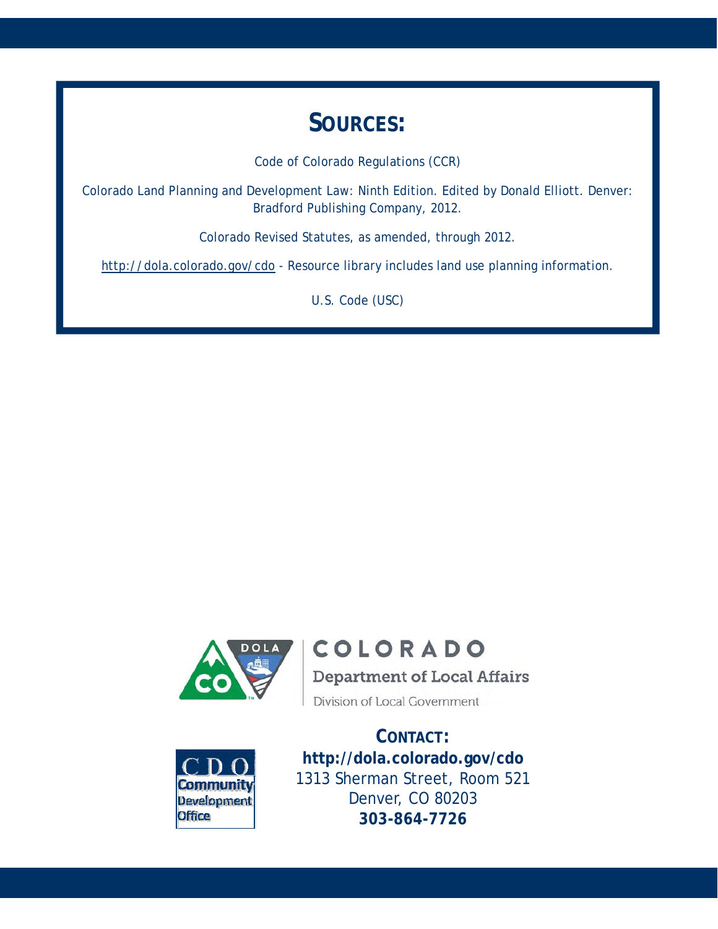### **SOURCES:**

Code of Colorado Regulations (CCR)

Colorado Land Planning and Development Law: Ninth Edition. Edited by Donald Elliott. Denver: Bradford Publishing Company, 2012.

Colorado Revised Statutes, as amended, through 2012.

http://dola.colorado.gov/cdo - Resource library includes land use planning information.

U.S. Code (USC)



### **COLORADO**

**Department of Local Affairs** 

Division of Local Government



**CONTACT: http://dola.colorado.gov/cdo**  1313 Sherman Street, Room 521 Denver, CO 80203 **303-864-7726**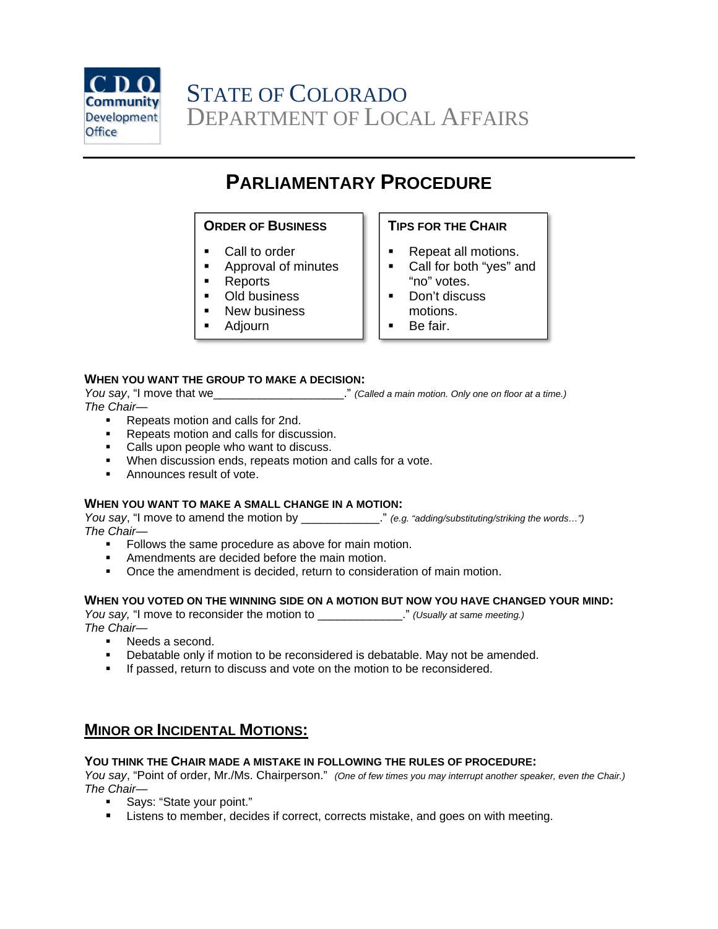

### **PARLIAMENTARY PROCEDURE**

#### **ORDER OF BUSINESS**

- Call to order
- **Approval of minutes**
- **Reports**
- **Old business**
- **New business**
- Adjourn

#### **TIPS FOR THE CHAIR**

- Repeat all motions.
- Call for both "yes" and "no" votes.
- **Don't discuss** motions.
- Be fair.

#### **WHEN YOU WANT THE GROUP TO MAKE A DECISION:**

*You say*, "I move that we\_\_\_\_\_\_\_\_\_\_\_\_\_\_\_\_\_\_\_\_." *(Called a main motion. Only one on floor at a time.) The Chair*—

- Repeats motion and calls for 2nd.
- **Repeats motion and calls for discussion.**
- **Calls upon people who want to discuss.**
- **When discussion ends, repeats motion and calls for a vote.**
- **Announces result of vote.**

#### **WHEN YOU WANT TO MAKE A SMALL CHANGE IN A MOTION:**

*You say*, "I move to amend the motion by \_\_\_\_\_\_\_\_\_\_\_\_." *(e.g. "adding/substituting/striking the words…") The Chair—* 

- Follows the same procedure as above for main motion.
- **EXECUTE:** Amendments are decided before the main motion.
- Once the amendment is decided, return to consideration of main motion.

#### **WHEN YOU VOTED ON THE WINNING SIDE ON A MOTION BUT NOW YOU HAVE CHANGED YOUR MIND:**

*You say,* "I move to reconsider the motion to \_\_\_\_\_\_\_\_\_\_\_\_\_." *(Usually at same meeting.) The Chair—* 

- Needs a second.
- Debatable only if motion to be reconsidered is debatable. May not be amended.
- **If passed, return to discuss and vote on the motion to be reconsidered.**

### **MINOR OR INCIDENTAL MOTIONS:**

#### **YOU THINK THE CHAIR MADE A MISTAKE IN FOLLOWING THE RULES OF PROCEDURE:**

*You say*, "Point of order, Mr./Ms. Chairperson." *(One of few times you may interrupt another speaker, even the Chair.) The Chair—* 

- Says: "State your point."
- Listens to member, decides if correct, corrects mistake, and goes on with meeting.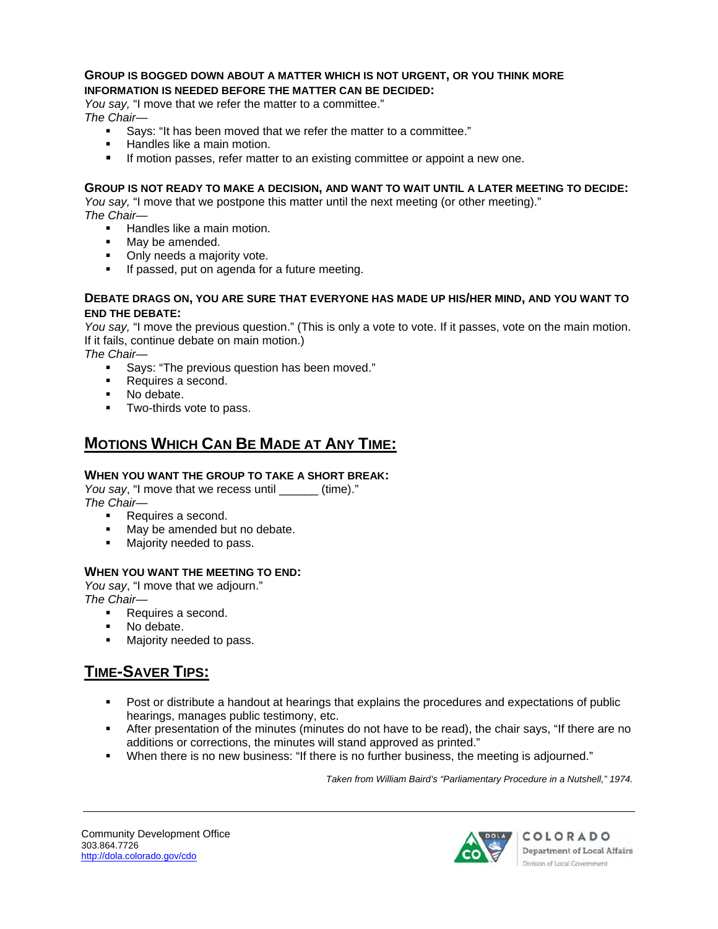#### **GROUP IS BOGGED DOWN ABOUT A MATTER WHICH IS NOT URGENT, OR YOU THINK MORE INFORMATION IS NEEDED BEFORE THE MATTER CAN BE DECIDED:**

*You say,* "I move that we refer the matter to a committee." *The Chair—* 

- Says: "It has been moved that we refer the matter to a committee."
- Handles like a main motion.
- If motion passes, refer matter to an existing committee or appoint a new one.

#### **GROUP IS NOT READY TO MAKE A DECISION, AND WANT TO WAIT UNTIL A LATER MEETING TO DECIDE:**

*You say,* "I move that we postpone this matter until the next meeting (or other meeting)." *The Chair*—

- **Handles like a main motion.**
- May be amended.
- Only needs a majority vote.
- **If passed, put on agenda for a future meeting.**

#### **DEBATE DRAGS ON, YOU ARE SURE THAT EVERYONE HAS MADE UP HIS/HER MIND, AND YOU WANT TO END THE DEBATE:**

*You say,* "I move the previous question." (This is only a vote to vote. If it passes, vote on the main motion. If it fails, continue debate on main motion.)

*The Chair—* 

- Says: "The previous question has been moved."
- Requires a second.
- No debate.
- **Two-thirds vote to pass.**

### **MOTIONS WHICH CAN BE MADE AT ANY TIME:**

### **WHEN YOU WANT THE GROUP TO TAKE A SHORT BREAK:**

*You say*, "I move that we recess until \_\_\_\_\_\_ (time)." *The Chair—* 

- Requires a second.
- May be amended but no debate.
- Majority needed to pass.

### **WHEN YOU WANT THE MEETING TO END:**

*You say*, "I move that we adjourn." *The Chair—* 

- Requires a second.
- No debate.
- **Majority needed to pass.**

### **TIME-SAVER TIPS:**

- **Post or distribute a handout at hearings that explains the procedures and expectations of public** hearings, manages public testimony, etc.
- After presentation of the minutes (minutes do not have to be read), the chair says, "If there are no additions or corrections, the minutes will stand approved as printed."
- When there is no new business: "If there is no further business, the meeting is adjourned."

*Taken from William Baird's "Parliamentary Procedure in a Nutshell," 1974.* 

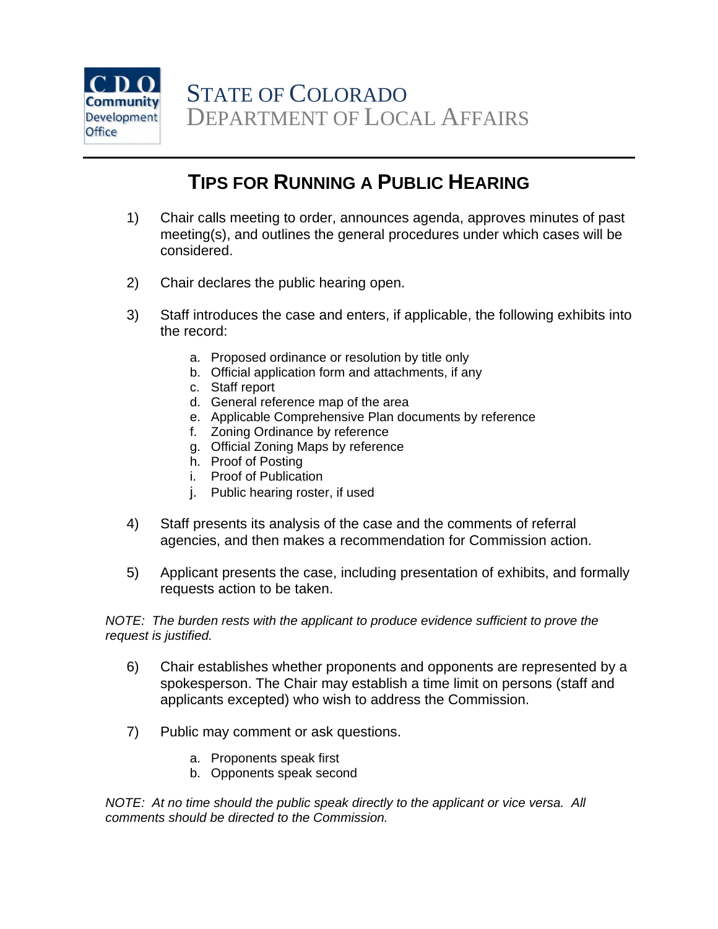

### **TIPS FOR RUNNING A PUBLIC HEARING**

- 1) Chair calls meeting to order, announces agenda, approves minutes of past meeting(s), and outlines the general procedures under which cases will be considered.
- 2) Chair declares the public hearing open.
- 3) Staff introduces the case and enters, if applicable, the following exhibits into the record:
	- a. Proposed ordinance or resolution by title only
	- b. Official application form and attachments, if any
	- c. Staff report
	- d. General reference map of the area
	- e. Applicable Comprehensive Plan documents by reference
	- f. Zoning Ordinance by reference
	- g. Official Zoning Maps by reference
	- h. Proof of Posting
	- i. Proof of Publication
	- j. Public hearing roster, if used
- 4) Staff presents its analysis of the case and the comments of referral agencies, and then makes a recommendation for Commission action.
- 5) Applicant presents the case, including presentation of exhibits, and formally requests action to be taken.

*NOTE: The burden rests with the applicant to produce evidence sufficient to prove the request is justified.*

- 6) Chair establishes whether proponents and opponents are represented by a spokesperson. The Chair may establish a time limit on persons (staff and applicants excepted) who wish to address the Commission.
- 7) Public may comment or ask questions.
	- a. Proponents speak first
	- b. Opponents speak second

*NOTE:* At no time should the public speak directly to the applicant or vice versa. All *comments should be directed to the Commission.*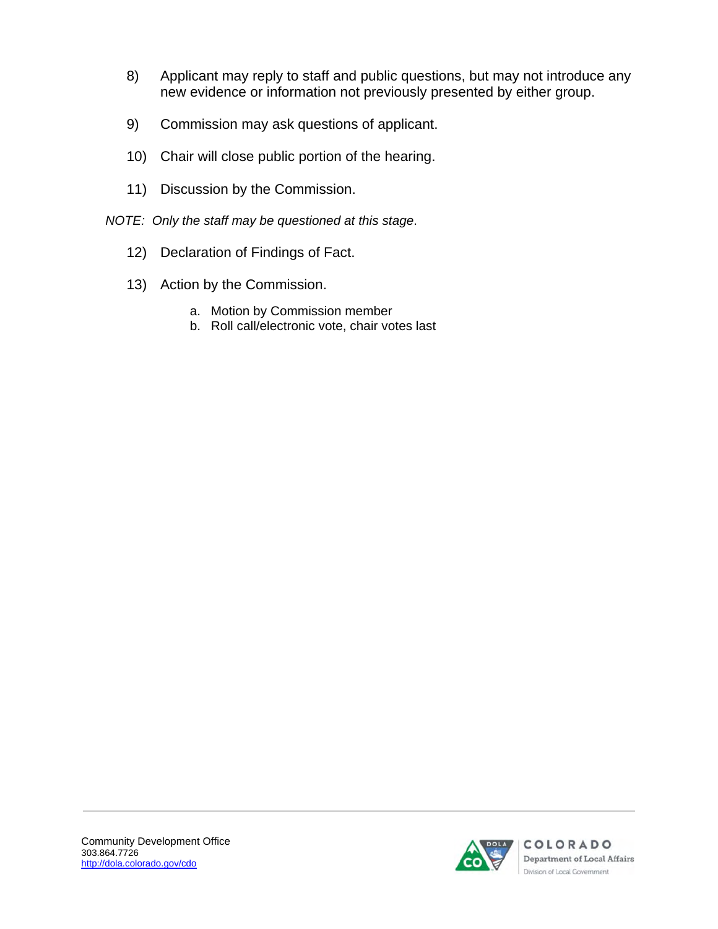- 8) Applicant may reply to staff and public questions, but may not introduce any new evidence or information not previously presented by either group.
- 9) Commission may ask questions of applicant.
- 10) Chair will close public portion of the hearing.
- 11) Discussion by the Commission.
- *NOTE: Only the staff may be questioned at this stage*.
	- 12) Declaration of Findings of Fact.
	- 13) Action by the Commission.
		- a. Motion by Commission member
		- b. Roll call/electronic vote, chair votes last

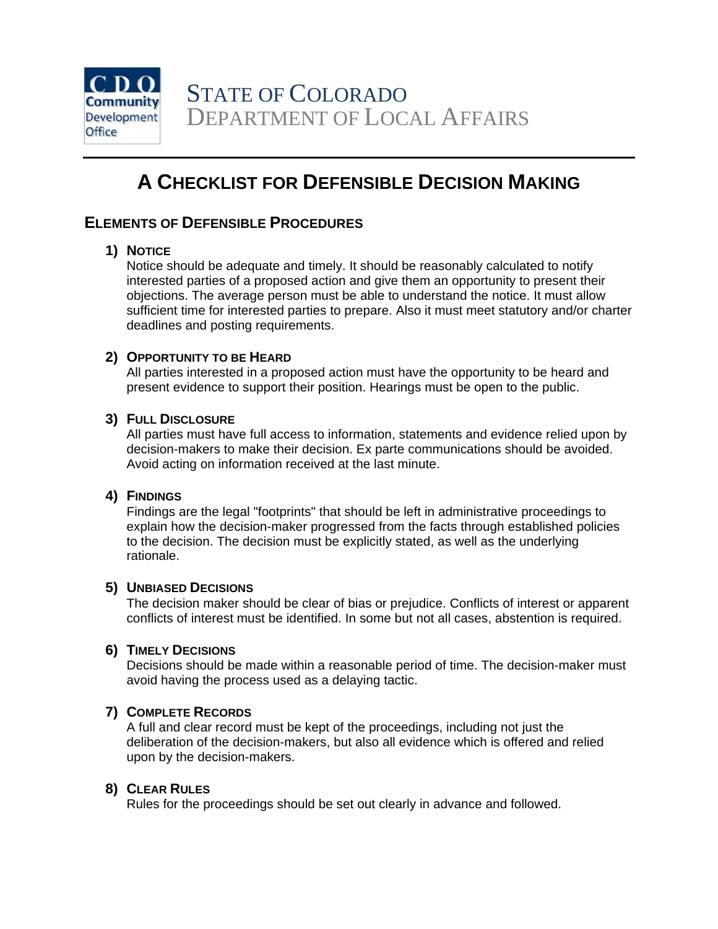

### **A CHECKLIST FOR DEFENSIBLE DECISION MAKING**

### **ELEMENTS OF DEFENSIBLE PROCEDURES**

### **1) NOTICE**

Notice should be adequate and timely. It should be reasonably calculated to notify interested parties of a proposed action and give them an opportunity to present their objections. The average person must be able to understand the notice. It must allow sufficient time for interested parties to prepare. Also it must meet statutory and/or charter deadlines and posting requirements.

### **2) OPPORTUNITY TO BE HEARD**

All parties interested in a proposed action must have the opportunity to be heard and present evidence to support their position. Hearings must be open to the public.

### **3) FULL DISCLOSURE**

All parties must have full access to information, statements and evidence relied upon by decision-makers to make their decision. Ex parte communications should be avoided. Avoid acting on information received at the last minute.

### **4) FINDINGS**

Findings are the legal "footprints" that should be left in administrative proceedings to explain how the decision-maker progressed from the facts through established policies to the decision. The decision must be explicitly stated, as well as the underlying rationale.

### **5) UNBIASED DECISIONS**

The decision maker should be clear of bias or prejudice. Conflicts of interest or apparent conflicts of interest must be identified. In some but not all cases, abstention is required.

### **6) TIMELY DECISIONS**

Decisions should be made within a reasonable period of time. The decision-maker must avoid having the process used as a delaying tactic.

### **7) COMPLETE RECORDS**

A full and clear record must be kept of the proceedings, including not just the deliberation of the decision-makers, but also all evidence which is offered and relied upon by the decision-makers.

#### **8) CLEAR RULES**

Rules for the proceedings should be set out clearly in advance and followed.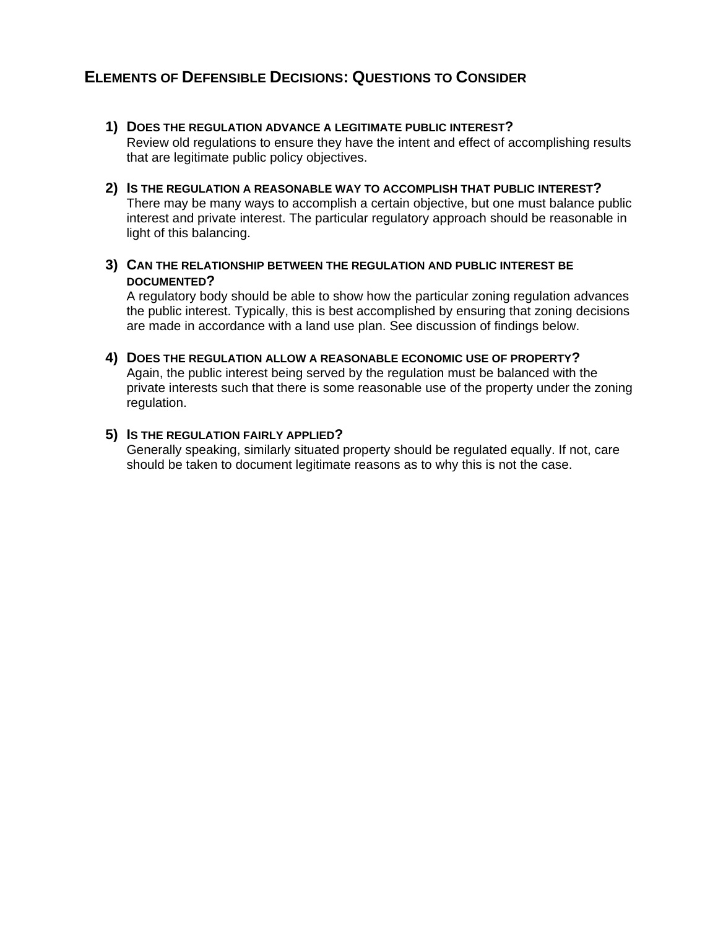### **ELEMENTS OF DEFENSIBLE DECISIONS: QUESTIONS TO CONSIDER**

- **1) DOES THE REGULATION ADVANCE A LEGITIMATE PUBLIC INTEREST?**  Review old regulations to ensure they have the intent and effect of accomplishing results that are legitimate public policy objectives.
- **2) IS THE REGULATION A REASONABLE WAY TO ACCOMPLISH THAT PUBLIC INTEREST?**  There may be many ways to accomplish a certain objective, but one must balance public interest and private interest. The particular regulatory approach should be reasonable in light of this balancing.
- **3) CAN THE RELATIONSHIP BETWEEN THE REGULATION AND PUBLIC INTEREST BE DOCUMENTED?**

A regulatory body should be able to show how the particular zoning regulation advances the public interest. Typically, this is best accomplished by ensuring that zoning decisions are made in accordance with a land use plan. See discussion of findings below.

**4) DOES THE REGULATION ALLOW A REASONABLE ECONOMIC USE OF PROPERTY?**  Again, the public interest being served by the regulation must be balanced with the private interests such that there is some reasonable use of the property under the zoning regulation.

#### **5) IS THE REGULATION FAIRLY APPLIED?**

Generally speaking, similarly situated property should be regulated equally. If not, care should be taken to document legitimate reasons as to why this is not the case.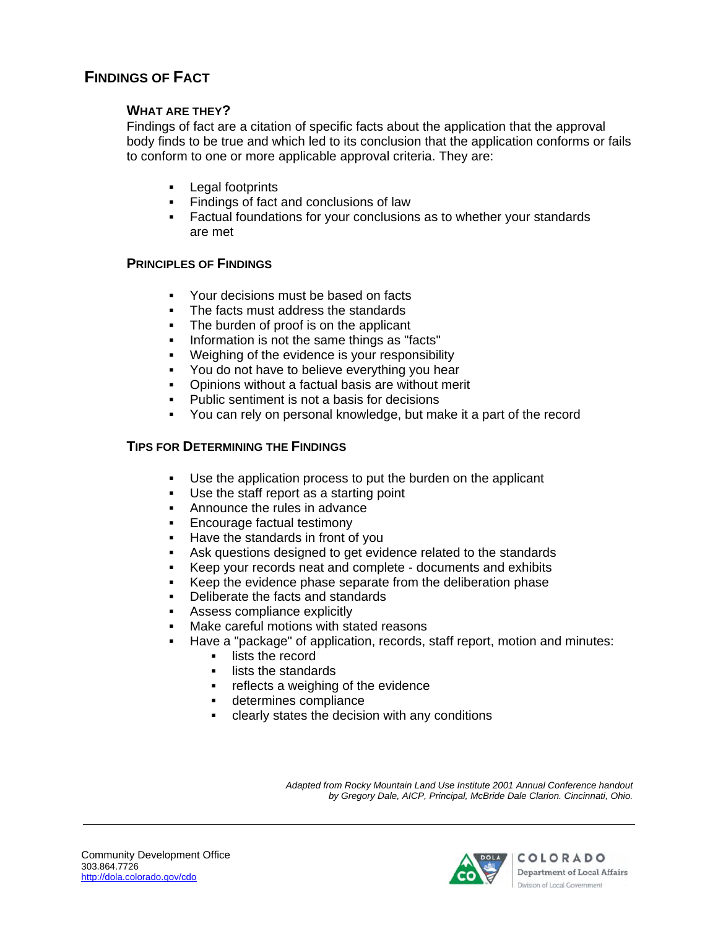### **FINDINGS OF FACT**

### **WHAT ARE THEY?**

Findings of fact are a citation of specific facts about the application that the approval body finds to be true and which led to its conclusion that the application conforms or fails to conform to one or more applicable approval criteria. They are:

- **Legal footprints**
- **Findings of fact and conclusions of law**
- Factual foundations for your conclusions as to whether your standards are met

### **PRINCIPLES OF FINDINGS**

- Your decisions must be based on facts
- The facts must address the standards
- The burden of proof is on the applicant
- **Information is not the same things as "facts"**
- **Weighing of the evidence is your responsibility**
- You do not have to believe everything you hear
- Opinions without a factual basis are without merit
- **Public sentiment is not a basis for decisions**
- You can rely on personal knowledge, but make it a part of the record

### **TIPS FOR DETERMINING THE FINDINGS**

- Use the application process to put the burden on the applicant
- Use the staff report as a starting point
- Announce the rules in advance
- **Encourage factual testimony**
- **Have the standards in front of you**
- Ask questions designed to get evidence related to the standards
- Keep your records neat and complete documents and exhibits
- Keep the evidence phase separate from the deliberation phase
- Deliberate the facts and standards
- Assess compliance explicitly
- Make careful motions with stated reasons
- Have a "package" of application, records, staff report, motion and minutes:
	- **EXEC** lists the record
	- lists the standards
	- **Fig.** reflects a weighing of the evidence
	- determines compliance
	- clearly states the decision with any conditions

*Adapted from Rocky Mountain Land Use Institute 2001 Annual Conference handout by Gregory Dale, AICP, Principal, McBride Dale Clarion. Cincinnati, Ohio.* 

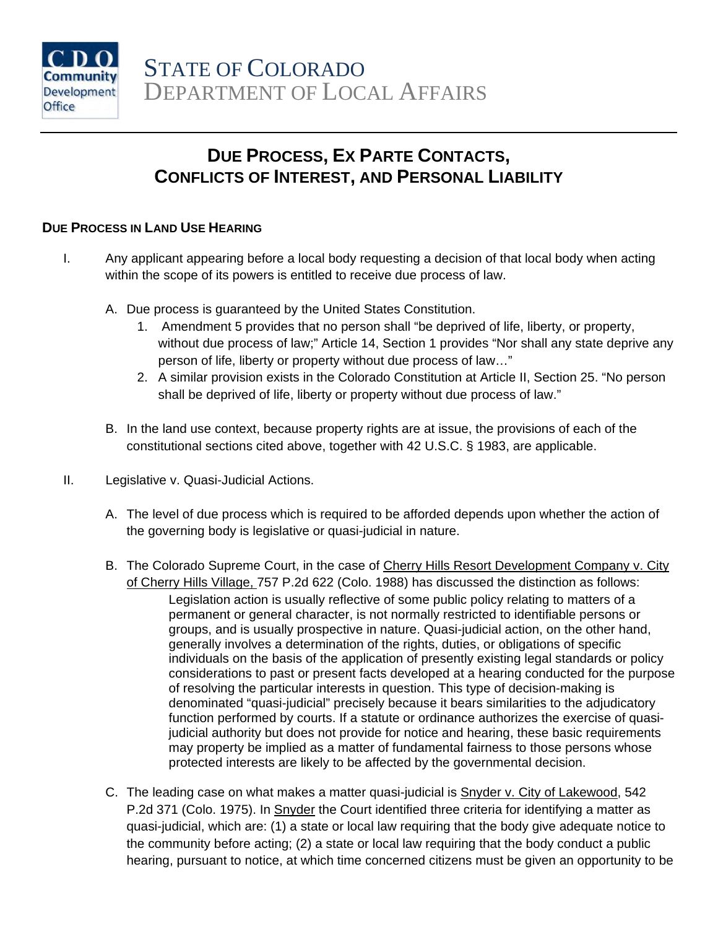

### **DUE PROCESS, EX PARTE CONTACTS, CONFLICTS OF INTEREST, AND PERSONAL LIABILITY**

### **DUE PROCESS IN LAND USE HEARING**

- I. Any applicant appearing before a local body requesting a decision of that local body when acting within the scope of its powers is entitled to receive due process of law.
	- A. Due process is guaranteed by the United States Constitution.
		- 1. Amendment 5 provides that no person shall "be deprived of life, liberty, or property, without due process of law;" Article 14, Section 1 provides "Nor shall any state deprive any person of life, liberty or property without due process of law…"
		- 2. A similar provision exists in the Colorado Constitution at Article II, Section 25. "No person shall be deprived of life, liberty or property without due process of law."
	- B. In the land use context, because property rights are at issue, the provisions of each of the constitutional sections cited above, together with 42 U.S.C. § 1983, are applicable.
- II. Legislative v. Quasi-Judicial Actions.
	- A. The level of due process which is required to be afforded depends upon whether the action of the governing body is legislative or quasi-judicial in nature.
	- B. The Colorado Supreme Court, in the case of Cherry Hills Resort Development Company v. City of Cherry Hills Village, 757 P.2d 622 (Colo. 1988) has discussed the distinction as follows: Legislation action is usually reflective of some public policy relating to matters of a permanent or general character, is not normally restricted to identifiable persons or groups, and is usually prospective in nature. Quasi-judicial action, on the other hand, generally involves a determination of the rights, duties, or obligations of specific individuals on the basis of the application of presently existing legal standards or policy considerations to past or present facts developed at a hearing conducted for the purpose of resolving the particular interests in question. This type of decision-making is denominated "quasi-judicial" precisely because it bears similarities to the adjudicatory function performed by courts. If a statute or ordinance authorizes the exercise of quasijudicial authority but does not provide for notice and hearing, these basic requirements may property be implied as a matter of fundamental fairness to those persons whose protected interests are likely to be affected by the governmental decision.
	- C. The leading case on what makes a matter quasi-judicial is Snyder v. City of Lakewood, 542 P.2d 371 (Colo. 1975). In Snyder the Court identified three criteria for identifying a matter as quasi-judicial, which are: (1) a state or local law requiring that the body give adequate notice to the community before acting; (2) a state or local law requiring that the body conduct a public hearing, pursuant to notice, at which time concerned citizens must be given an opportunity to be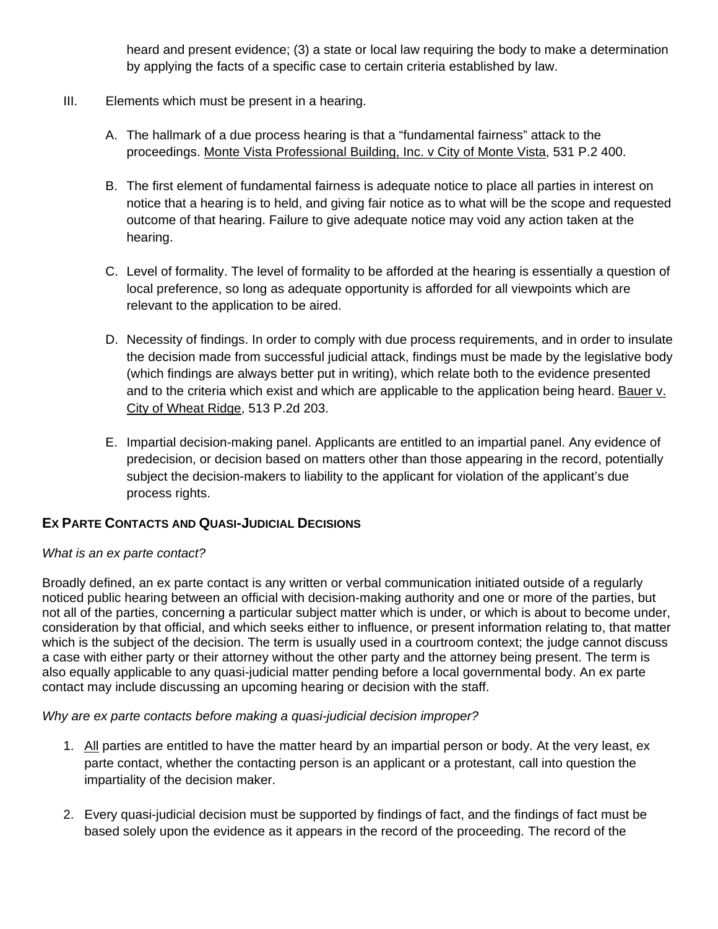heard and present evidence; (3) a state or local law requiring the body to make a determination by applying the facts of a specific case to certain criteria established by law.

- III. Elements which must be present in a hearing.
	- A. The hallmark of a due process hearing is that a "fundamental fairness" attack to the proceedings. Monte Vista Professional Building, Inc. v City of Monte Vista, 531 P.2 400.
	- B. The first element of fundamental fairness is adequate notice to place all parties in interest on notice that a hearing is to held, and giving fair notice as to what will be the scope and requested outcome of that hearing. Failure to give adequate notice may void any action taken at the hearing.
	- C. Level of formality. The level of formality to be afforded at the hearing is essentially a question of local preference, so long as adequate opportunity is afforded for all viewpoints which are relevant to the application to be aired.
	- D. Necessity of findings. In order to comply with due process requirements, and in order to insulate the decision made from successful judicial attack, findings must be made by the legislative body (which findings are always better put in writing), which relate both to the evidence presented and to the criteria which exist and which are applicable to the application being heard. Bauer v. City of Wheat Ridge, 513 P.2d 203.
	- E. Impartial decision-making panel. Applicants are entitled to an impartial panel. Any evidence of predecision, or decision based on matters other than those appearing in the record, potentially subject the decision-makers to liability to the applicant for violation of the applicant's due process rights.

### **EX PARTE CONTACTS AND QUASI-JUDICIAL DECISIONS**

### *What is an ex parte contact?*

Broadly defined, an ex parte contact is any written or verbal communication initiated outside of a regularly noticed public hearing between an official with decision-making authority and one or more of the parties, but not all of the parties, concerning a particular subject matter which is under, or which is about to become under, consideration by that official, and which seeks either to influence, or present information relating to, that matter which is the subject of the decision. The term is usually used in a courtroom context; the judge cannot discuss a case with either party or their attorney without the other party and the attorney being present. The term is also equally applicable to any quasi-judicial matter pending before a local governmental body. An ex parte contact may include discussing an upcoming hearing or decision with the staff.

*Why are ex parte contacts before making a quasi-judicial decision improper?* 

- 1. All parties are entitled to have the matter heard by an impartial person or body. At the very least, ex parte contact, whether the contacting person is an applicant or a protestant, call into question the impartiality of the decision maker.
- 2. Every quasi-judicial decision must be supported by findings of fact, and the findings of fact must be based solely upon the evidence as it appears in the record of the proceeding. The record of the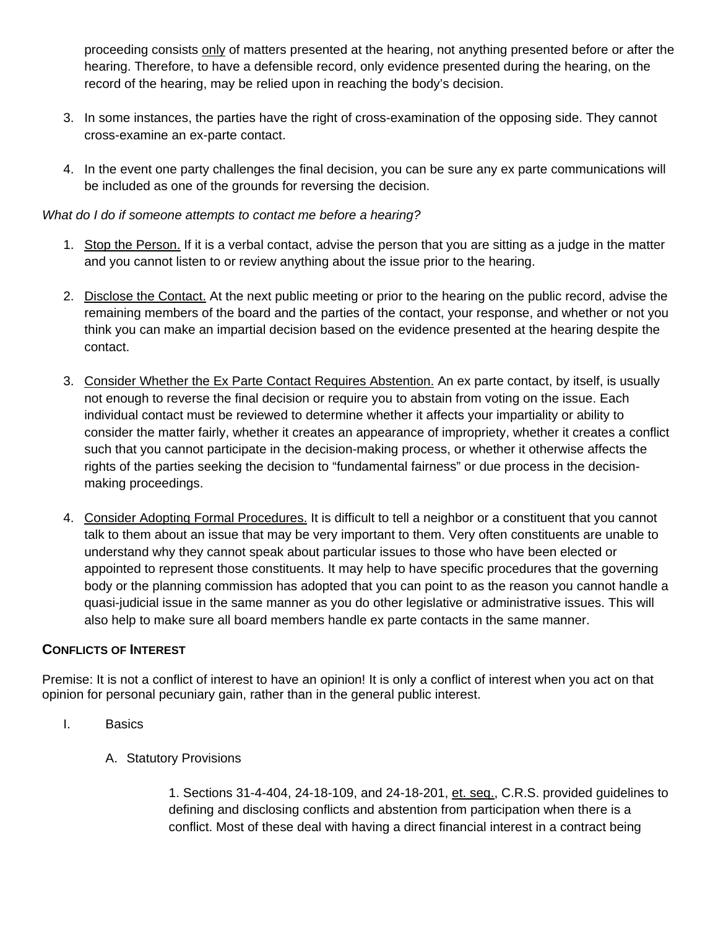proceeding consists only of matters presented at the hearing, not anything presented before or after the hearing. Therefore, to have a defensible record, only evidence presented during the hearing, on the record of the hearing, may be relied upon in reaching the body's decision.

- 3. In some instances, the parties have the right of cross-examination of the opposing side. They cannot cross-examine an ex-parte contact.
- 4. In the event one party challenges the final decision, you can be sure any ex parte communications will be included as one of the grounds for reversing the decision.

### *What do I do if someone attempts to contact me before a hearing?*

- 1. Stop the Person. If it is a verbal contact, advise the person that you are sitting as a judge in the matter and you cannot listen to or review anything about the issue prior to the hearing.
- 2. Disclose the Contact. At the next public meeting or prior to the hearing on the public record, advise the remaining members of the board and the parties of the contact, your response, and whether or not you think you can make an impartial decision based on the evidence presented at the hearing despite the contact.
- 3. Consider Whether the Ex Parte Contact Requires Abstention. An ex parte contact, by itself, is usually not enough to reverse the final decision or require you to abstain from voting on the issue. Each individual contact must be reviewed to determine whether it affects your impartiality or ability to consider the matter fairly, whether it creates an appearance of impropriety, whether it creates a conflict such that you cannot participate in the decision-making process, or whether it otherwise affects the rights of the parties seeking the decision to "fundamental fairness" or due process in the decisionmaking proceedings.
- 4. Consider Adopting Formal Procedures. It is difficult to tell a neighbor or a constituent that you cannot talk to them about an issue that may be very important to them. Very often constituents are unable to understand why they cannot speak about particular issues to those who have been elected or appointed to represent those constituents. It may help to have specific procedures that the governing body or the planning commission has adopted that you can point to as the reason you cannot handle a quasi-judicial issue in the same manner as you do other legislative or administrative issues. This will also help to make sure all board members handle ex parte contacts in the same manner.

### **CONFLICTS OF INTEREST**

Premise: It is not a conflict of interest to have an opinion! It is only a conflict of interest when you act on that opinion for personal pecuniary gain, rather than in the general public interest.

- I. Basics
	- A. Statutory Provisions

1. Sections 31-4-404, 24-18-109, and 24-18-201, et. seq., C.R.S. provided guidelines to defining and disclosing conflicts and abstention from participation when there is a conflict. Most of these deal with having a direct financial interest in a contract being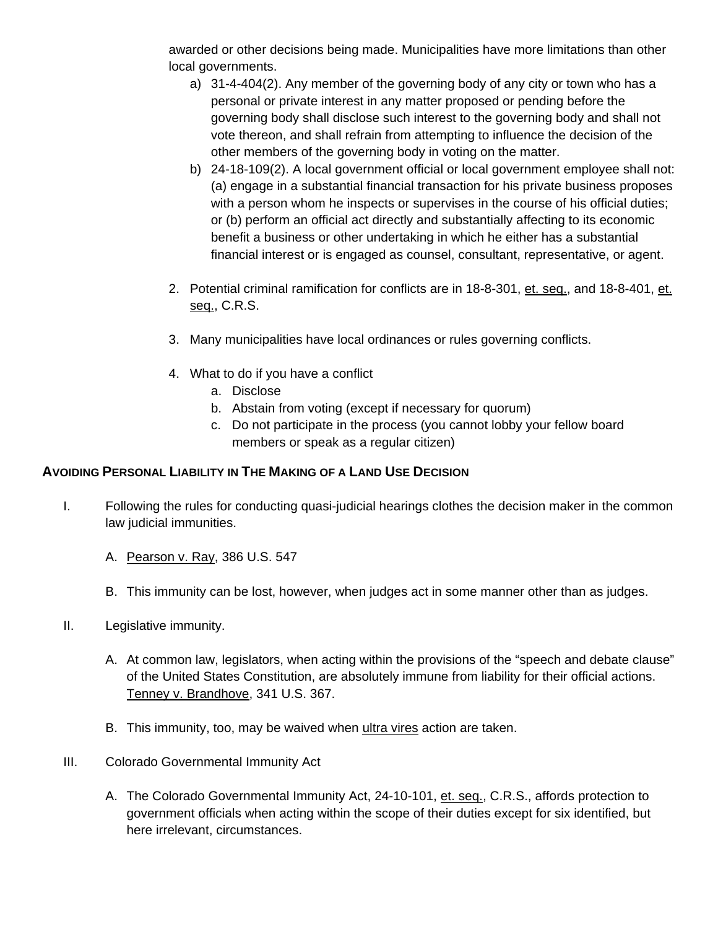awarded or other decisions being made. Municipalities have more limitations than other local governments.

- a) 31-4-404(2). Any member of the governing body of any city or town who has a personal or private interest in any matter proposed or pending before the governing body shall disclose such interest to the governing body and shall not vote thereon, and shall refrain from attempting to influence the decision of the other members of the governing body in voting on the matter.
- b) 24-18-109(2). A local government official or local government employee shall not: (a) engage in a substantial financial transaction for his private business proposes with a person whom he inspects or supervises in the course of his official duties; or (b) perform an official act directly and substantially affecting to its economic benefit a business or other undertaking in which he either has a substantial financial interest or is engaged as counsel, consultant, representative, or agent.
- 2. Potential criminal ramification for conflicts are in 18-8-301, et. seq., and 18-8-401, et. seq., C.R.S.
- 3. Many municipalities have local ordinances or rules governing conflicts.
- 4. What to do if you have a conflict
	- a. Disclose
	- b. Abstain from voting (except if necessary for quorum)
	- c. Do not participate in the process (you cannot lobby your fellow board members or speak as a regular citizen)

### **AVOIDING PERSONAL LIABILITY IN THE MAKING OF A LAND USE DECISION**

- I. Following the rules for conducting quasi-judicial hearings clothes the decision maker in the common law judicial immunities.
	- A. Pearson v. Ray, 386 U.S. 547
	- B. This immunity can be lost, however, when judges act in some manner other than as judges.
- II. Legislative immunity.
	- A. At common law, legislators, when acting within the provisions of the "speech and debate clause" of the United States Constitution, are absolutely immune from liability for their official actions. Tenney v. Brandhove, 341 U.S. 367.
	- B. This immunity, too, may be waived when ultra vires action are taken.
- III. Colorado Governmental Immunity Act
	- A. The Colorado Governmental Immunity Act, 24-10-101, et. seq., C.R.S., affords protection to government officials when acting within the scope of their duties except for six identified, but here irrelevant, circumstances.